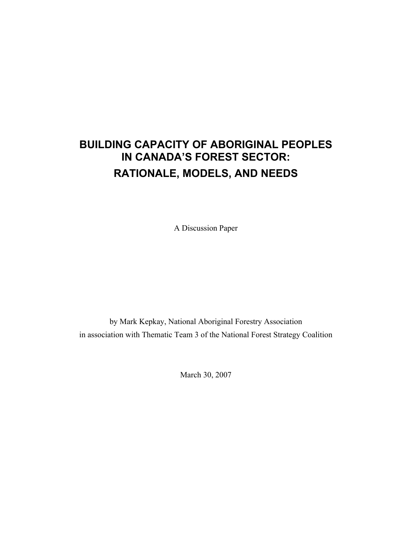# **BUILDING CAPACITY OF ABORIGINAL PEOPLES IN CANADA'S FOREST SECTOR: RATIONALE, MODELS, AND NEEDS**

A Discussion Paper

by Mark Kepkay, National Aboriginal Forestry Association in association with Thematic Team 3 of the National Forest Strategy Coalition

March 30, 2007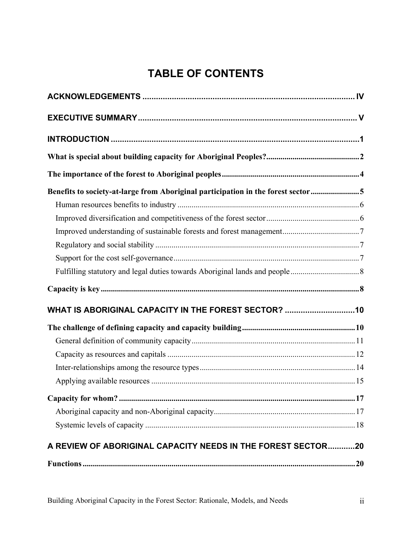# **TABLE OF CONTENTS**

| Benefits to society-at-large from Aboriginal participation in the forest sector5 |  |
|----------------------------------------------------------------------------------|--|
|                                                                                  |  |
|                                                                                  |  |
|                                                                                  |  |
|                                                                                  |  |
|                                                                                  |  |
|                                                                                  |  |
|                                                                                  |  |
| WHAT IS ABORIGINAL CAPACITY IN THE FOREST SECTOR?  10                            |  |
|                                                                                  |  |
|                                                                                  |  |
|                                                                                  |  |
|                                                                                  |  |
|                                                                                  |  |
|                                                                                  |  |
|                                                                                  |  |
|                                                                                  |  |
|                                                                                  |  |
| A REVIEW OF ABORIGINAL CAPACITY NEEDS IN THE FOREST SECTOR20                     |  |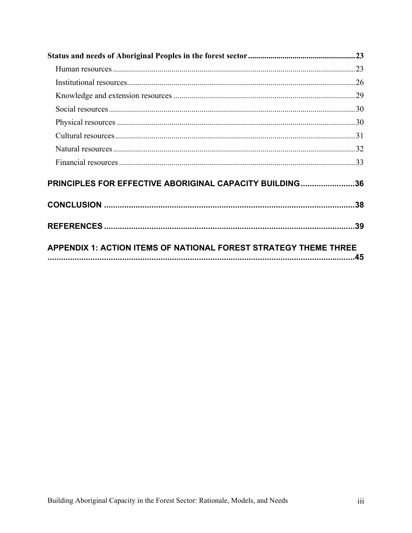| PRINCIPLES FOR EFFECTIVE ABORIGINAL CAPACITY BUILDING36          |  |
|------------------------------------------------------------------|--|
|                                                                  |  |
|                                                                  |  |
| APPENDIX 1: ACTION ITEMS OF NATIONAL FOREST STRATEGY THEME THREE |  |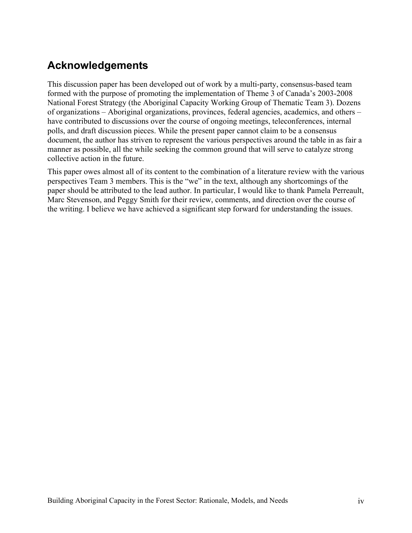# **Acknowledgements**

This discussion paper has been developed out of work by a multi-party, consensus-based team formed with the purpose of promoting the implementation of Theme 3 of Canada's 2003-2008 National Forest Strategy (the Aboriginal Capacity Working Group of Thematic Team 3). Dozens of organizations – Aboriginal organizations, provinces, federal agencies, academics, and others – have contributed to discussions over the course of ongoing meetings, teleconferences, internal polls, and draft discussion pieces. While the present paper cannot claim to be a consensus document, the author has striven to represent the various perspectives around the table in as fair a manner as possible, all the while seeking the common ground that will serve to catalyze strong collective action in the future.

This paper owes almost all of its content to the combination of a literature review with the various perspectives Team 3 members. This is the "we" in the text, although any shortcomings of the paper should be attributed to the lead author. In particular, I would like to thank Pamela Perreault, Marc Stevenson, and Peggy Smith for their review, comments, and direction over the course of the writing. I believe we have achieved a significant step forward for understanding the issues.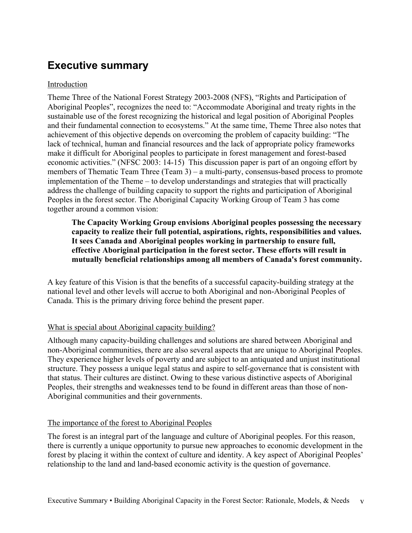# **Executive summary**

# Introduction

Theme Three of the National Forest Strategy 2003-2008 (NFS), "Rights and Participation of Aboriginal Peoples", recognizes the need to: "Accommodate Aboriginal and treaty rights in the sustainable use of the forest recognizing the historical and legal position of Aboriginal Peoples and their fundamental connection to ecosystems." At the same time, Theme Three also notes that achievement of this objective depends on overcoming the problem of capacity building: "The lack of technical, human and financial resources and the lack of appropriate policy frameworks make it difficult for Aboriginal peoples to participate in forest management and forest-based economic activities." (NFSC 2003: 14-15) This discussion paper is part of an ongoing effort by members of Thematic Team Three (Team 3) – a multi-party, consensus-based process to promote implementation of the Theme – to develop understandings and strategies that will practically address the challenge of building capacity to support the rights and participation of Aboriginal Peoples in the forest sector. The Aboriginal Capacity Working Group of Team 3 has come together around a common vision:

**The Capacity Working Group envisions Aboriginal peoples possessing the necessary capacity to realize their full potential, aspirations, rights, responsibilities and values. It sees Canada and Aboriginal peoples working in partnership to ensure full, effective Aboriginal participation in the forest sector. These efforts will result in mutually beneficial relationships among all members of Canada's forest community.** 

A key feature of this Vision is that the benefits of a successful capacity-building strategy at the national level and other levels will accrue to both Aboriginal and non-Aboriginal Peoples of Canada. This is the primary driving force behind the present paper.

# What is special about Aboriginal capacity building?

Although many capacity-building challenges and solutions are shared between Aboriginal and non-Aboriginal communities, there are also several aspects that are unique to Aboriginal Peoples. They experience higher levels of poverty and are subject to an antiquated and unjust institutional structure. They possess a unique legal status and aspire to self-governance that is consistent with that status. Their cultures are distinct. Owing to these various distinctive aspects of Aboriginal Peoples, their strengths and weaknesses tend to be found in different areas than those of non-Aboriginal communities and their governments.

# The importance of the forest to Aboriginal Peoples

The forest is an integral part of the language and culture of Aboriginal peoples. For this reason, there is currently a unique opportunity to pursue new approaches to economic development in the forest by placing it within the context of culture and identity. A key aspect of Aboriginal Peoples' relationship to the land and land-based economic activity is the question of governance.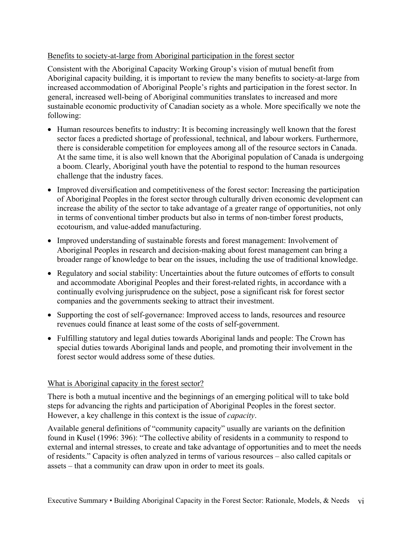## Benefits to society-at-large from Aboriginal participation in the forest sector

Consistent with the Aboriginal Capacity Working Group's vision of mutual benefit from Aboriginal capacity building, it is important to review the many benefits to society-at-large from increased accommodation of Aboriginal People's rights and participation in the forest sector. In general, increased well-being of Aboriginal communities translates to increased and more sustainable economic productivity of Canadian society as a whole. More specifically we note the following:

- Human resources benefits to industry: It is becoming increasingly well known that the forest sector faces a predicted shortage of professional, technical, and labour workers. Furthermore, there is considerable competition for employees among all of the resource sectors in Canada. At the same time, it is also well known that the Aboriginal population of Canada is undergoing a boom. Clearly, Aboriginal youth have the potential to respond to the human resources challenge that the industry faces.
- Improved diversification and competitiveness of the forest sector: Increasing the participation of Aboriginal Peoples in the forest sector through culturally driven economic development can increase the ability of the sector to take advantage of a greater range of opportunities, not only in terms of conventional timber products but also in terms of non-timber forest products, ecotourism, and value-added manufacturing.
- Improved understanding of sustainable forests and forest management: Involvement of Aboriginal Peoples in research and decision-making about forest management can bring a broader range of knowledge to bear on the issues, including the use of traditional knowledge.
- Regulatory and social stability: Uncertainties about the future outcomes of efforts to consult and accommodate Aboriginal Peoples and their forest-related rights, in accordance with a continually evolving jurisprudence on the subject, pose a significant risk for forest sector companies and the governments seeking to attract their investment.
- Supporting the cost of self-governance: Improved access to lands, resources and resource revenues could finance at least some of the costs of self-government.
- Fulfilling statutory and legal duties towards Aboriginal lands and people: The Crown has special duties towards Aboriginal lands and people, and promoting their involvement in the forest sector would address some of these duties.

#### What is Aboriginal capacity in the forest sector?

There is both a mutual incentive and the beginnings of an emerging political will to take bold steps for advancing the rights and participation of Aboriginal Peoples in the forest sector. However, a key challenge in this context is the issue of *capacity*.

Available general definitions of "community capacity" usually are variants on the definition found in Kusel (1996: 396): "The collective ability of residents in a community to respond to external and internal stresses, to create and take advantage of opportunities and to meet the needs of residents." Capacity is often analyzed in terms of various resources – also called capitals or assets – that a community can draw upon in order to meet its goals.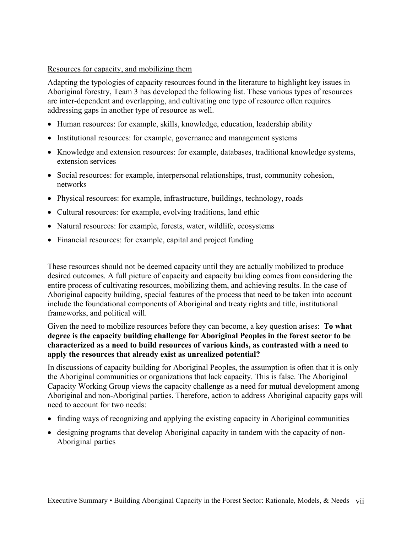## Resources for capacity, and mobilizing them

Adapting the typologies of capacity resources found in the literature to highlight key issues in Aboriginal forestry, Team 3 has developed the following list. These various types of resources are inter-dependent and overlapping, and cultivating one type of resource often requires addressing gaps in another type of resource as well.

- Human resources: for example, skills, knowledge, education, leadership ability
- Institutional resources: for example, governance and management systems
- Knowledge and extension resources: for example, databases, traditional knowledge systems, extension services
- Social resources: for example, interpersonal relationships, trust, community cohesion, networks
- Physical resources: for example, infrastructure, buildings, technology, roads
- Cultural resources: for example, evolving traditions, land ethic
- Natural resources: for example, forests, water, wildlife, ecosystems
- Financial resources: for example, capital and project funding

These resources should not be deemed capacity until they are actually mobilized to produce desired outcomes. A full picture of capacity and capacity building comes from considering the entire process of cultivating resources, mobilizing them, and achieving results. In the case of Aboriginal capacity building, special features of the process that need to be taken into account include the foundational components of Aboriginal and treaty rights and title, institutional frameworks, and political will.

Given the need to mobilize resources before they can become, a key question arises: **To what degree is the capacity building challenge for Aboriginal Peoples in the forest sector to be characterized as a need to build resources of various kinds, as contrasted with a need to apply the resources that already exist as unrealized potential?**

In discussions of capacity building for Aboriginal Peoples, the assumption is often that it is only the Aboriginal communities or organizations that lack capacity. This is false. The Aboriginal Capacity Working Group views the capacity challenge as a need for mutual development among Aboriginal and non-Aboriginal parties. Therefore, action to address Aboriginal capacity gaps will need to account for two needs:

- finding ways of recognizing and applying the existing capacity in Aboriginal communities
- designing programs that develop Aboriginal capacity in tandem with the capacity of non-Aboriginal parties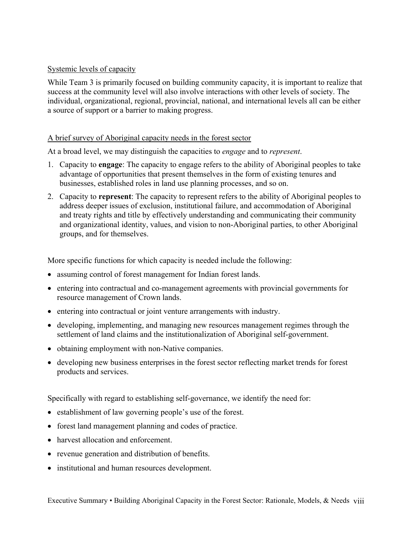## Systemic levels of capacity

While Team 3 is primarily focused on building community capacity, it is important to realize that success at the community level will also involve interactions with other levels of society. The individual, organizational, regional, provincial, national, and international levels all can be either a source of support or a barrier to making progress.

## A brief survey of Aboriginal capacity needs in the forest sector

At a broad level, we may distinguish the capacities to *engage* and to *represent*.

- 1. Capacity to **engage**: The capacity to engage refers to the ability of Aboriginal peoples to take advantage of opportunities that present themselves in the form of existing tenures and businesses, established roles in land use planning processes, and so on.
- 2. Capacity to **represent**: The capacity to represent refers to the ability of Aboriginal peoples to address deeper issues of exclusion, institutional failure, and accommodation of Aboriginal and treaty rights and title by effectively understanding and communicating their community and organizational identity, values, and vision to non-Aboriginal parties, to other Aboriginal groups, and for themselves.

More specific functions for which capacity is needed include the following:

- assuming control of forest management for Indian forest lands.
- entering into contractual and co-management agreements with provincial governments for resource management of Crown lands.
- entering into contractual or joint venture arrangements with industry.
- developing, implementing, and managing new resources management regimes through the settlement of land claims and the institutionalization of Aboriginal self-government.
- obtaining employment with non-Native companies.
- developing new business enterprises in the forest sector reflecting market trends for forest products and services.

Specifically with regard to establishing self-governance, we identify the need for:

- establishment of law governing people's use of the forest.
- forest land management planning and codes of practice.
- harvest allocation and enforcement.
- revenue generation and distribution of benefits.
- institutional and human resources development.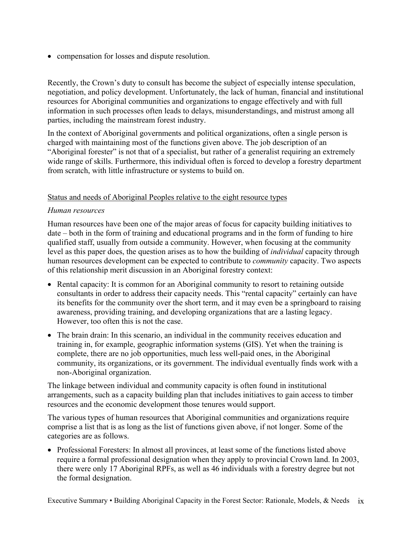• compensation for losses and dispute resolution.

Recently, the Crown's duty to consult has become the subject of especially intense speculation, negotiation, and policy development. Unfortunately, the lack of human, financial and institutional resources for Aboriginal communities and organizations to engage effectively and with full information in such processes often leads to delays, misunderstandings, and mistrust among all parties, including the mainstream forest industry.

In the context of Aboriginal governments and political organizations, often a single person is charged with maintaining most of the functions given above. The job description of an "Aboriginal forester" is not that of a specialist, but rather of a generalist requiring an extremely wide range of skills. Furthermore, this individual often is forced to develop a forestry department from scratch, with little infrastructure or systems to build on.

## Status and needs of Aboriginal Peoples relative to the eight resource types

#### *Human resources*

Human resources have been one of the major areas of focus for capacity building initiatives to date – both in the form of training and educational programs and in the form of funding to hire qualified staff, usually from outside a community. However, when focusing at the community level as this paper does, the question arises as to how the building of *individual* capacity through human resources development can be expected to contribute to *community* capacity. Two aspects of this relationship merit discussion in an Aboriginal forestry context:

- Rental capacity: It is common for an Aboriginal community to resort to retaining outside consultants in order to address their capacity needs. This "rental capacity" certainly can have its benefits for the community over the short term, and it may even be a springboard to raising awareness, providing training, and developing organizations that are a lasting legacy. However, too often this is not the case.
- The brain drain: In this scenario, an individual in the community receives education and training in, for example, geographic information systems (GIS). Yet when the training is complete, there are no job opportunities, much less well-paid ones, in the Aboriginal community, its organizations, or its government. The individual eventually finds work with a non-Aboriginal organization.

The linkage between individual and community capacity is often found in institutional arrangements, such as a capacity building plan that includes initiatives to gain access to timber resources and the economic development those tenures would support.

The various types of human resources that Aboriginal communities and organizations require comprise a list that is as long as the list of functions given above, if not longer. Some of the categories are as follows.

• Professional Foresters: In almost all provinces, at least some of the functions listed above require a formal professional designation when they apply to provincial Crown land. In 2003, there were only 17 Aboriginal RPFs, as well as 46 individuals with a forestry degree but not the formal designation.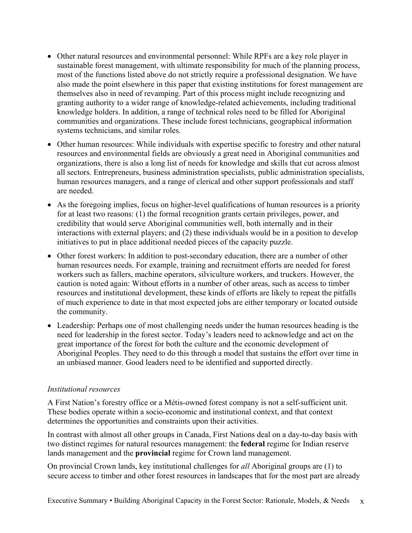- Other natural resources and environmental personnel: While RPFs are a key role player in sustainable forest management, with ultimate responsibility for much of the planning process, most of the functions listed above do not strictly require a professional designation. We have also made the point elsewhere in this paper that existing institutions for forest management are themselves also in need of revamping. Part of this process might include recognizing and granting authority to a wider range of knowledge-related achievements, including traditional knowledge holders. In addition, a range of technical roles need to be filled for Aboriginal communities and organizations. These include forest technicians, geographical information systems technicians, and similar roles.
- Other human resources: While individuals with expertise specific to forestry and other natural resources and environmental fields are obviously a great need in Aboriginal communities and organizations, there is also a long list of needs for knowledge and skills that cut across almost all sectors. Entrepreneurs, business administration specialists, public administration specialists, human resources managers, and a range of clerical and other support professionals and staff are needed.
- As the foregoing implies, focus on higher-level qualifications of human resources is a priority for at least two reasons: (1) the formal recognition grants certain privileges, power, and credibility that would serve Aboriginal communities well, both internally and in their interactions with external players; and (2) these individuals would be in a position to develop initiatives to put in place additional needed pieces of the capacity puzzle.
- Other forest workers: In addition to post-secondary education, there are a number of other human resources needs. For example, training and recruitment efforts are needed for forest workers such as fallers, machine operators, silviculture workers, and truckers. However, the caution is noted again: Without efforts in a number of other areas, such as access to timber resources and institutional development, these kinds of efforts are likely to repeat the pitfalls of much experience to date in that most expected jobs are either temporary or located outside the community.
- Leadership: Perhaps one of most challenging needs under the human resources heading is the need for leadership in the forest sector. Today's leaders need to acknowledge and act on the great importance of the forest for both the culture and the economic development of Aboriginal Peoples. They need to do this through a model that sustains the effort over time in an unbiased manner. Good leaders need to be identified and supported directly.

# *Institutional resources*

A First Nation's forestry office or a Métis-owned forest company is not a self-sufficient unit. These bodies operate within a socio-economic and institutional context, and that context determines the opportunities and constraints upon their activities.

In contrast with almost all other groups in Canada, First Nations deal on a day-to-day basis with two distinct regimes for natural resources management: the **federal** regime for Indian reserve lands management and the **provincial** regime for Crown land management.

On provincial Crown lands, key institutional challenges for *all* Aboriginal groups are (1) to secure access to timber and other forest resources in landscapes that for the most part are already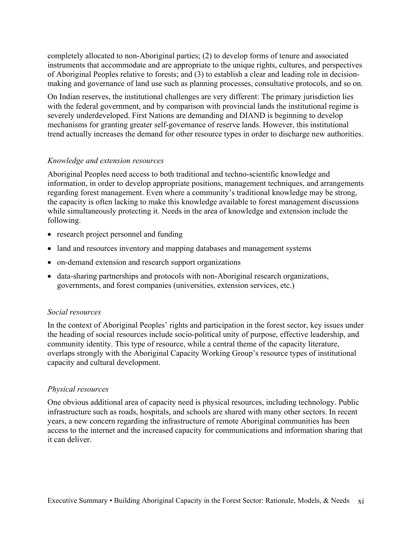completely allocated to non-Aboriginal parties; (2) to develop forms of tenure and associated instruments that accommodate and are appropriate to the unique rights, cultures, and perspectives of Aboriginal Peoples relative to forests; and (3) to establish a clear and leading role in decisionmaking and governance of land use such as planning processes, consultative protocols, and so on.

On Indian reserves, the institutional challenges are very different: The primary jurisdiction lies with the federal government, and by comparison with provincial lands the institutional regime is severely underdeveloped. First Nations are demanding and DIAND is beginning to develop mechanisms for granting greater self-governance of reserve lands. However, this institutional trend actually increases the demand for other resource types in order to discharge new authorities.

#### *Knowledge and extension resources*

Aboriginal Peoples need access to both traditional and techno-scientific knowledge and information, in order to develop appropriate positions, management techniques, and arrangements regarding forest management. Even where a community's traditional knowledge may be strong, the capacity is often lacking to make this knowledge available to forest management discussions while simultaneously protecting it. Needs in the area of knowledge and extension include the following.

- research project personnel and funding
- land and resources inventory and mapping databases and management systems
- on-demand extension and research support organizations
- data-sharing partnerships and protocols with non-Aboriginal research organizations, governments, and forest companies (universities, extension services, etc.)

#### *Social resources*

In the context of Aboriginal Peoples' rights and participation in the forest sector, key issues under the heading of social resources include socio-political unity of purpose, effective leadership, and community identity. This type of resource, while a central theme of the capacity literature, overlaps strongly with the Aboriginal Capacity Working Group's resource types of institutional capacity and cultural development.

#### *Physical resources*

One obvious additional area of capacity need is physical resources, including technology. Public infrastructure such as roads, hospitals, and schools are shared with many other sectors. In recent years, a new concern regarding the infrastructure of remote Aboriginal communities has been access to the internet and the increased capacity for communications and information sharing that it can deliver.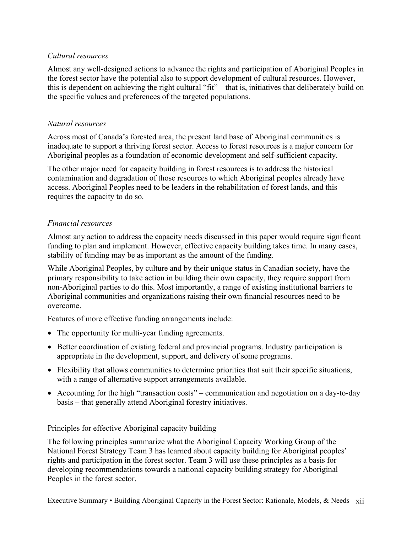# *Cultural resources*

Almost any well-designed actions to advance the rights and participation of Aboriginal Peoples in the forest sector have the potential also to support development of cultural resources. However, this is dependent on achieving the right cultural "fit" – that is, initiatives that deliberately build on the specific values and preferences of the targeted populations.

## *Natural resources*

Across most of Canada's forested area, the present land base of Aboriginal communities is inadequate to support a thriving forest sector. Access to forest resources is a major concern for Aboriginal peoples as a foundation of economic development and self-sufficient capacity.

The other major need for capacity building in forest resources is to address the historical contamination and degradation of those resources to which Aboriginal peoples already have access. Aboriginal Peoples need to be leaders in the rehabilitation of forest lands, and this requires the capacity to do so.

# *Financial resources*

Almost any action to address the capacity needs discussed in this paper would require significant funding to plan and implement. However, effective capacity building takes time. In many cases, stability of funding may be as important as the amount of the funding.

While Aboriginal Peoples, by culture and by their unique status in Canadian society, have the primary responsibility to take action in building their own capacity, they require support from non-Aboriginal parties to do this. Most importantly, a range of existing institutional barriers to Aboriginal communities and organizations raising their own financial resources need to be overcome.

Features of more effective funding arrangements include:

- The opportunity for multi-year funding agreements.
- Better coordination of existing federal and provincial programs. Industry participation is appropriate in the development, support, and delivery of some programs.
- Flexibility that allows communities to determine priorities that suit their specific situations, with a range of alternative support arrangements available.
- Accounting for the high "transaction costs" communication and negotiation on a day-to-day basis – that generally attend Aboriginal forestry initiatives.

#### Principles for effective Aboriginal capacity building

The following principles summarize what the Aboriginal Capacity Working Group of the National Forest Strategy Team 3 has learned about capacity building for Aboriginal peoples' rights and participation in the forest sector. Team 3 will use these principles as a basis for developing recommendations towards a national capacity building strategy for Aboriginal Peoples in the forest sector.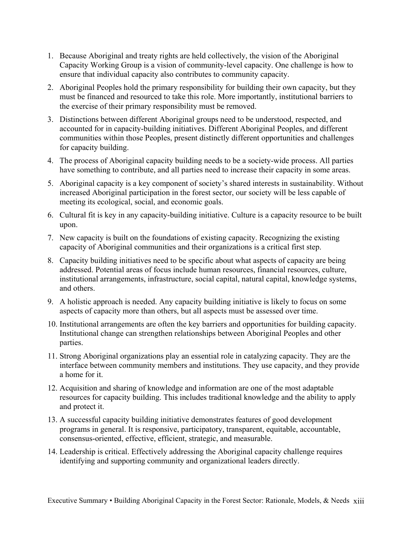- 1. Because Aboriginal and treaty rights are held collectively, the vision of the Aboriginal Capacity Working Group is a vision of community-level capacity. One challenge is how to ensure that individual capacity also contributes to community capacity.
- 2. Aboriginal Peoples hold the primary responsibility for building their own capacity, but they must be financed and resourced to take this role. More importantly, institutional barriers to the exercise of their primary responsibility must be removed.
- 3. Distinctions between different Aboriginal groups need to be understood, respected, and accounted for in capacity-building initiatives. Different Aboriginal Peoples, and different communities within those Peoples, present distinctly different opportunities and challenges for capacity building.
- 4. The process of Aboriginal capacity building needs to be a society-wide process. All parties have something to contribute, and all parties need to increase their capacity in some areas.
- 5. Aboriginal capacity is a key component of society's shared interests in sustainability. Without increased Aboriginal participation in the forest sector, our society will be less capable of meeting its ecological, social, and economic goals.
- 6. Cultural fit is key in any capacity-building initiative. Culture is a capacity resource to be built upon.
- 7. New capacity is built on the foundations of existing capacity. Recognizing the existing capacity of Aboriginal communities and their organizations is a critical first step.
- 8. Capacity building initiatives need to be specific about what aspects of capacity are being addressed. Potential areas of focus include human resources, financial resources, culture, institutional arrangements, infrastructure, social capital, natural capital, knowledge systems, and others.
- 9. A holistic approach is needed. Any capacity building initiative is likely to focus on some aspects of capacity more than others, but all aspects must be assessed over time.
- 10. Institutional arrangements are often the key barriers and opportunities for building capacity. Institutional change can strengthen relationships between Aboriginal Peoples and other parties.
- 11. Strong Aboriginal organizations play an essential role in catalyzing capacity. They are the interface between community members and institutions. They use capacity, and they provide a home for it.
- 12. Acquisition and sharing of knowledge and information are one of the most adaptable resources for capacity building. This includes traditional knowledge and the ability to apply and protect it.
- 13. A successful capacity building initiative demonstrates features of good development programs in general. It is responsive, participatory, transparent, equitable, accountable, consensus-oriented, effective, efficient, strategic, and measurable.
- 14. Leadership is critical. Effectively addressing the Aboriginal capacity challenge requires identifying and supporting community and organizational leaders directly.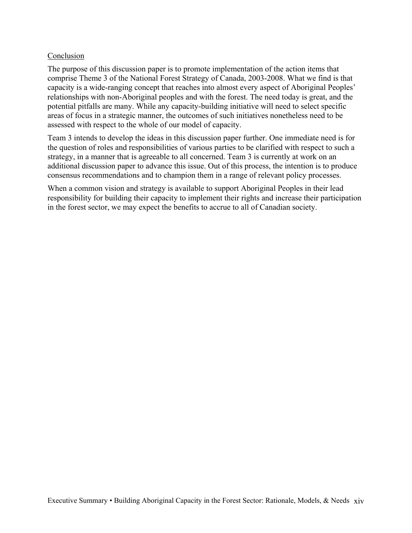#### Conclusion

The purpose of this discussion paper is to promote implementation of the action items that comprise Theme 3 of the National Forest Strategy of Canada, 2003-2008. What we find is that capacity is a wide-ranging concept that reaches into almost every aspect of Aboriginal Peoples' relationships with non-Aboriginal peoples and with the forest. The need today is great, and the potential pitfalls are many. While any capacity-building initiative will need to select specific areas of focus in a strategic manner, the outcomes of such initiatives nonetheless need to be assessed with respect to the whole of our model of capacity.

Team 3 intends to develop the ideas in this discussion paper further. One immediate need is for the question of roles and responsibilities of various parties to be clarified with respect to such a strategy, in a manner that is agreeable to all concerned. Team 3 is currently at work on an additional discussion paper to advance this issue. Out of this process, the intention is to produce consensus recommendations and to champion them in a range of relevant policy processes.

When a common vision and strategy is available to support Aboriginal Peoples in their lead responsibility for building their capacity to implement their rights and increase their participation in the forest sector, we may expect the benefits to accrue to all of Canadian society.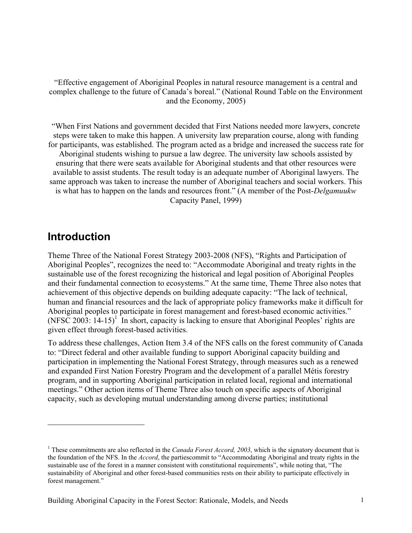"Effective engagement of Aboriginal Peoples in natural resource management is a central and complex challenge to the future of Canada's boreal." (National Round Table on the Environment and the Economy, 2005)

"When First Nations and government decided that First Nations needed more lawyers, concrete steps were taken to make this happen. A university law preparation course, along with funding for participants, was established. The program acted as a bridge and increased the success rate for Aboriginal students wishing to pursue a law degree. The university law schools assisted by ensuring that there were seats available for Aboriginal students and that other resources were available to assist students. The result today is an adequate number of Aboriginal lawyers. The same approach was taken to increase the number of Aboriginal teachers and social workers. This is what has to happen on the lands and resources front." (A member of the Post-*Delgamuukw* Capacity Panel, 1999)

# **Introduction**

 $\overline{a}$ 

Theme Three of the National Forest Strategy 2003-2008 (NFS), "Rights and Participation of Aboriginal Peoples", recognizes the need to: "Accommodate Aboriginal and treaty rights in the sustainable use of the forest recognizing the historical and legal position of Aboriginal Peoples and their fundamental connection to ecosystems." At the same time, Theme Three also notes that achievement of this objective depends on building adequate capacity: "The lack of technical, human and financial resources and the lack of appropriate policy frameworks make it difficult for Aboriginal peoples to participate in forest management and forest-based economic activities." (NFSC 2003:  $14-15$ )<sup>1</sup> In short, capacity is lacking to ensure that Aboriginal Peoples' rights are given effect through forest-based activities.

To address these challenges, Action Item 3.4 of the NFS calls on the forest community of Canada to: "Direct federal and other available funding to support Aboriginal capacity building and participation in implementing the National Forest Strategy, through measures such as a renewed and expanded First Nation Forestry Program and the development of a parallel Métis forestry program, and in supporting Aboriginal participation in related local, regional and international meetings." Other action items of Theme Three also touch on specific aspects of Aboriginal capacity, such as developing mutual understanding among diverse parties; institutional

<sup>&</sup>lt;sup>1</sup> These commitments are also reflected in the *Canada Forest Accord, 2003*, which is the signatory document that is the foundation of the NFS. In the *Accord*, the partiescommit to "Accommodating Aboriginal and treaty rights in the sustainable use of the forest in a manner consistent with constitutional requirements", while noting that, "The sustainability of Aboriginal and other forest-based communities rests on their ability to participate effectively in forest management."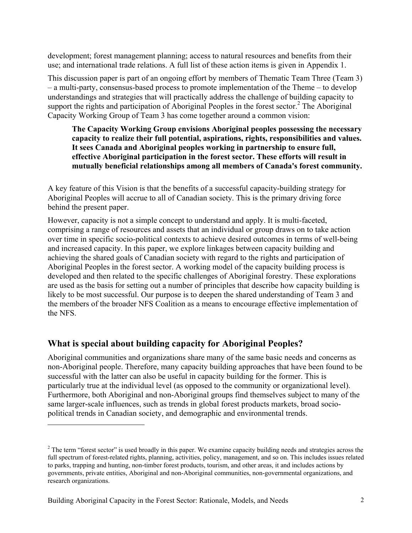development; forest management planning; access to natural resources and benefits from their use; and international trade relations. A full list of these action items is given in Appendix 1.

This discussion paper is part of an ongoing effort by members of Thematic Team Three (Team 3) – a multi-party, consensus-based process to promote implementation of the Theme – to develop understandings and strategies that will practically address the challenge of building capacity to support the rights and participation of Aboriginal Peoples in the forest sector.<sup>2</sup> The Aboriginal Capacity Working Group of Team 3 has come together around a common vision:

**The Capacity Working Group envisions Aboriginal peoples possessing the necessary capacity to realize their full potential, aspirations, rights, responsibilities and values. It sees Canada and Aboriginal peoples working in partnership to ensure full, effective Aboriginal participation in the forest sector. These efforts will result in mutually beneficial relationships among all members of Canada's forest community.** 

A key feature of this Vision is that the benefits of a successful capacity-building strategy for Aboriginal Peoples will accrue to all of Canadian society. This is the primary driving force behind the present paper.

However, capacity is not a simple concept to understand and apply. It is multi-faceted, comprising a range of resources and assets that an individual or group draws on to take action over time in specific socio-political contexts to achieve desired outcomes in terms of well-being and increased capacity. In this paper, we explore linkages between capacity building and achieving the shared goals of Canadian society with regard to the rights and participation of Aboriginal Peoples in the forest sector. A working model of the capacity building process is developed and then related to the specific challenges of Aboriginal forestry. These explorations are used as the basis for setting out a number of principles that describe how capacity building is likely to be most successful. Our purpose is to deepen the shared understanding of Team 3 and the members of the broader NFS Coalition as a means to encourage effective implementation of the NFS.

# **What is special about building capacity for Aboriginal Peoples?**

Aboriginal communities and organizations share many of the same basic needs and concerns as non-Aboriginal people. Therefore, many capacity building approaches that have been found to be successful with the latter can also be useful in capacity building for the former. This is particularly true at the individual level (as opposed to the community or organizational level). Furthermore, both Aboriginal and non-Aboriginal groups find themselves subject to many of the same larger-scale influences, such as trends in global forest products markets, broad sociopolitical trends in Canadian society, and demographic and environmental trends.

 $2^2$  The term "forest sector" is used broadly in this paper. We examine capacity building needs and strategies across the full spectrum of forest-related rights, planning, activities, policy, management, and so on. This includes issues related to parks, trapping and hunting, non-timber forest products, tourism, and other areas, it and includes actions by governments, private entities, Aboriginal and non-Aboriginal communities, non-governmental organizations, and research organizations.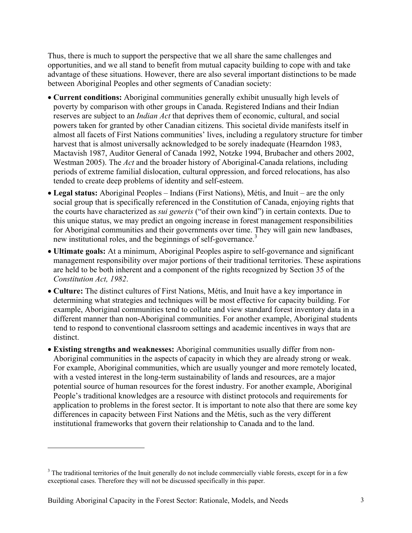Thus, there is much to support the perspective that we all share the same challenges and opportunities, and we all stand to benefit from mutual capacity building to cope with and take advantage of these situations. However, there are also several important distinctions to be made between Aboriginal Peoples and other segments of Canadian society:

- **Current conditions:** Aboriginal communities generally exhibit unusually high levels of poverty by comparison with other groups in Canada. Registered Indians and their Indian reserves are subject to an *Indian Act* that deprives them of economic, cultural, and social powers taken for granted by other Canadian citizens. This societal divide manifests itself in almost all facets of First Nations communities' lives, including a regulatory structure for timber harvest that is almost universally acknowledged to be sorely inadequate (Hearndon 1983, Mactavish 1987, Auditor General of Canada 1992, Notzke 1994, Brubacher and others 2002, Westman 2005). The *Act* and the broader history of Aboriginal-Canada relations, including periods of extreme familial dislocation, cultural oppression, and forced relocations, has also tended to create deep problems of identity and self-esteem.
- **Legal status:** Aboriginal Peoples Indians (First Nations), Métis, and Inuit are the only social group that is specifically referenced in the Constitution of Canada, enjoying rights that the courts have characterized as *sui generis* ("of their own kind") in certain contexts. Due to this unique status, we may predict an ongoing increase in forest management responsibilities for Aboriginal communities and their governments over time. They will gain new landbases, new institutional roles, and the beginnings of self-governance.<sup>3</sup>
- **Ultimate goals:** At a minimum, Aboriginal Peoples aspire to self-governance and significant management responsibility over major portions of their traditional territories. These aspirations are held to be both inherent and a component of the rights recognized by Section 35 of the *Constitution Act, 1982*.
- **Culture:** The distinct cultures of First Nations, Métis, and Inuit have a key importance in determining what strategies and techniques will be most effective for capacity building. For example, Aboriginal communities tend to collate and view standard forest inventory data in a different manner than non-Aboriginal communities. For another example, Aboriginal students tend to respond to conventional classroom settings and academic incentives in ways that are distinct.
- **Existing strengths and weaknesses:** Aboriginal communities usually differ from non-Aboriginal communities in the aspects of capacity in which they are already strong or weak. For example, Aboriginal communities, which are usually younger and more remotely located, with a vested interest in the long-term sustainability of lands and resources, are a major potential source of human resources for the forest industry. For another example, Aboriginal People's traditional knowledges are a resource with distinct protocols and requirements for application to problems in the forest sector. It is important to note also that there are some key differences in capacity between First Nations and the Métis, such as the very different institutional frameworks that govern their relationship to Canada and to the land.

 $3$  The traditional territories of the Inuit generally do not include commercially viable forests, except for in a few exceptional cases. Therefore they will not be discussed specifically in this paper.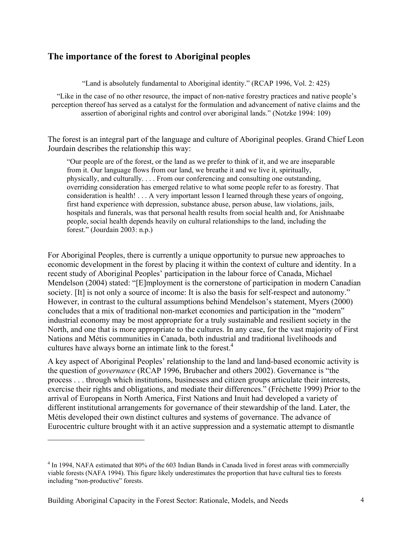# **The importance of the forest to Aboriginal peoples**

"Land is absolutely fundamental to Aboriginal identity." (RCAP 1996, Vol. 2: 425)

 "Like in the case of no other resource, the impact of non-native forestry practices and native people's perception thereof has served as a catalyst for the formulation and advancement of native claims and the assertion of aboriginal rights and control over aboriginal lands." (Notzke 1994: 109)

The forest is an integral part of the language and culture of Aboriginal peoples. Grand Chief Leon Jourdain describes the relationship this way:

"Our people are of the forest, or the land as we prefer to think of it, and we are inseparable from it. Our language flows from our land, we breathe it and we live it, spiritually, physically, and culturally. . . . From our conferencing and consulting one outstanding, overriding consideration has emerged relative to what some people refer to as forestry. That consideration is health! . . . A very important lesson I learned through these years of ongoing, first hand experience with depression, substance abuse, person abuse, law violations, jails, hospitals and funerals, was that personal health results from social health and, for Anishnaabe people, social health depends heavily on cultural relationships to the land, including the forest." (Jourdain 2003: n.p.)

For Aboriginal Peoples, there is currently a unique opportunity to pursue new approaches to economic development in the forest by placing it within the context of culture and identity. In a recent study of Aboriginal Peoples' participation in the labour force of Canada, Michael Mendelson (2004) stated: "[E]mployment is the cornerstone of participation in modern Canadian society. [It] is not only a source of income: It is also the basis for self-respect and autonomy." However, in contrast to the cultural assumptions behind Mendelson's statement, Myers (2000) concludes that a mix of traditional non-market economies and participation in the "modern" industrial economy may be most appropriate for a truly sustainable and resilient society in the North, and one that is more appropriate to the cultures. In any case, for the vast majority of First Nations and Métis communities in Canada, both industrial and traditional livelihoods and cultures have always borne an intimate link to the forest.<sup>4</sup>

A key aspect of Aboriginal Peoples' relationship to the land and land-based economic activity is the question of *governance* (RCAP 1996, Brubacher and others 2002). Governance is "the process . . . through which institutions, businesses and citizen groups articulate their interests, exercise their rights and obligations, and mediate their differences." (Fréchette 1999) Prior to the arrival of Europeans in North America, First Nations and Inuit had developed a variety of different institutional arrangements for governance of their stewardship of the land. Later, the Métis developed their own distinct cultures and systems of governance. The advance of Eurocentric culture brought with it an active suppression and a systematic attempt to dismantle

<sup>&</sup>lt;sup>4</sup> In 1994, NAFA estimated that 80% of the 603 Indian Bands in Canada lived in forest areas with commercially viable forests (NAFA 1994). This figure likely underestimates the proportion that have cultural ties to forests including "non-productive" forests.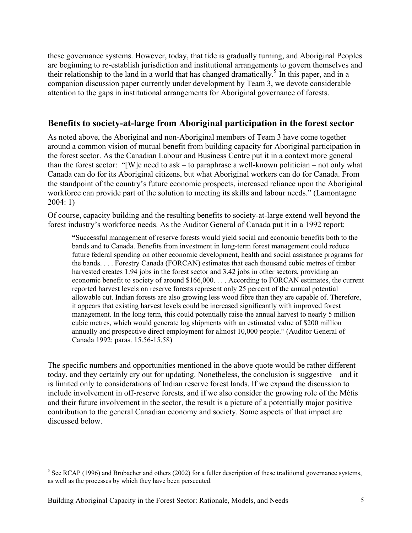these governance systems. However, today, that tide is gradually turning, and Aboriginal Peoples are beginning to re-establish jurisdiction and institutional arrangements to govern themselves and their relationship to the land in a world that has changed dramatically.<sup>5</sup> In this paper, and in a companion discussion paper currently under development by Team 3, we devote considerable attention to the gaps in institutional arrangements for Aboriginal governance of forests.

# **Benefits to society-at-large from Aboriginal participation in the forest sector**

As noted above, the Aboriginal and non-Aboriginal members of Team 3 have come together around a common vision of mutual benefit from building capacity for Aboriginal participation in the forest sector. As the Canadian Labour and Business Centre put it in a context more general than the forest sector: "[W]e need to ask – to paraphrase a well-known politician – not only what Canada can do for its Aboriginal citizens, but what Aboriginal workers can do for Canada. From the standpoint of the country's future economic prospects, increased reliance upon the Aboriginal workforce can provide part of the solution to meeting its skills and labour needs." (Lamontagne 2004: 1)

Of course, capacity building and the resulting benefits to society-at-large extend well beyond the forest industry's workforce needs. As the Auditor General of Canada put it in a 1992 report:

**"**Successful management of reserve forests would yield social and economic benefits both to the bands and to Canada. Benefits from investment in long-term forest management could reduce future federal spending on other economic development, health and social assistance programs for the bands. . . . Forestry Canada (FORCAN) estimates that each thousand cubic metres of timber harvested creates 1.94 jobs in the forest sector and 3.42 jobs in other sectors, providing an economic benefit to society of around \$166,000. . . . According to FORCAN estimates, the current reported harvest levels on reserve forests represent only 25 percent of the annual potential allowable cut. Indian forests are also growing less wood fibre than they are capable of. Therefore, it appears that existing harvest levels could be increased significantly with improved forest management. In the long term, this could potentially raise the annual harvest to nearly 5 million cubic metres, which would generate log shipments with an estimated value of \$200 million annually and prospective direct employment for almost 10,000 people." (Auditor General of Canada 1992: paras. 15.56-15.58)

The specific numbers and opportunities mentioned in the above quote would be rather different today, and they certainly cry out for updating. Nonetheless, the conclusion is suggestive – and it is limited only to considerations of Indian reserve forest lands. If we expand the discussion to include involvement in off-reserve forests, and if we also consider the growing role of the Métis and their future involvement in the sector, the result is a picture of a potentially major positive contribution to the general Canadian economy and society. Some aspects of that impact are discussed below.

 $<sup>5</sup>$  See RCAP (1996) and Brubacher and others (2002) for a fuller description of these traditional governance systems,</sup> as well as the processes by which they have been persecuted.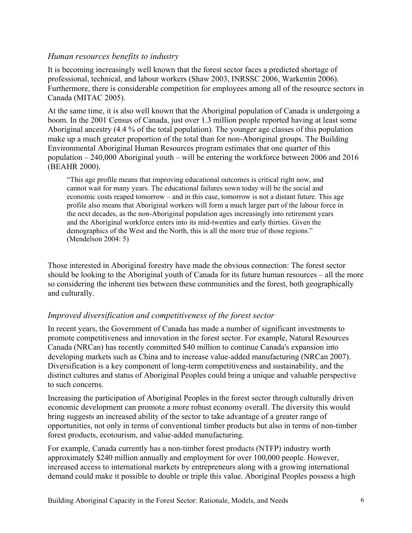# *Human resources benefits to industry*

It is becoming increasingly well known that the forest sector faces a predicted shortage of professional, technical, and labour workers (Shaw 2003, INRSSC 2006, Warkentin 2006). Furthermore, there is considerable competition for employees among all of the resource sectors in Canada (MITAC 2005).

At the same time, it is also well known that the Aboriginal population of Canada is undergoing a boom. In the 2001 Census of Canada, just over 1.3 million people reported having at least some Aboriginal ancestry (4.4 % of the total population). The younger age classes of this population make up a much greater proportion of the total than for non-Aboriginal groups. The Building Environmental Aboriginal Human Resources program estimates that one quarter of this population – 240,000 Aboriginal youth – will be entering the workforce between 2006 and 2016 (BEAHR 2000).

"This age profile means that improving educational outcomes is critical right now, and cannot wait for many years. The educational failures sown today will be the social and economic costs reaped tomorrow – and in this case, tomorrow is not a distant future. This age profile also means that Aboriginal workers will form a much larger part of the labour force in the next decades, as the non-Aboriginal population ages increasingly into retirement years and the Aboriginal workforce enters into its mid-twenties and early thirties. Given the demographics of the West and the North, this is all the more true of those regions." (Mendelson 2004: 5)

Those interested in Aboriginal forestry have made the obvious connection: The forest sector should be looking to the Aboriginal youth of Canada for its future human resources – all the more so considering the inherent ties between these communities and the forest, both geographically and culturally.

# *Improved diversification and competitiveness of the forest sector*

In recent years, the Government of Canada has made a number of significant investments to promote competitiveness and innovation in the forest sector. For example, Natural Resources Canada (NRCan) has recently committed \$40 million to continue Canada's expansion into developing markets such as China and to increase value-added manufacturing (NRCan 2007). Diversification is a key component of long-term competitiveness and sustainability, and the distinct cultures and status of Aboriginal Peoples could bring a unique and valuable perspective to such concerns.

Increasing the participation of Aboriginal Peoples in the forest sector through culturally driven economic development can promote a more robust economy overall. The diversity this would bring suggests an increased ability of the sector to take advantage of a greater range of opportunities, not only in terms of conventional timber products but also in terms of non-timber forest products, ecotourism, and value-added manufacturing.

For example, Canada currently has a non-timber forest products (NTFP) industry worth approximately \$240 million annually and employment for over 100,000 people. However, increased access to international markets by entrepreneurs along with a growing international demand could make it possible to double or triple this value. Aboriginal Peoples possess a high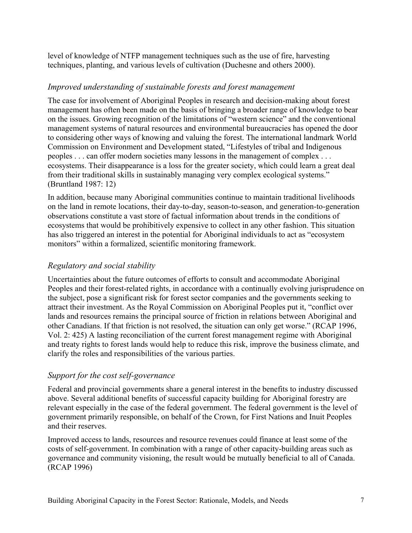level of knowledge of NTFP management techniques such as the use of fire, harvesting techniques, planting, and various levels of cultivation (Duchesne and others 2000).

# *Improved understanding of sustainable forests and forest management*

The case for involvement of Aboriginal Peoples in research and decision-making about forest management has often been made on the basis of bringing a broader range of knowledge to bear on the issues. Growing recognition of the limitations of "western science" and the conventional management systems of natural resources and environmental bureaucracies has opened the door to considering other ways of knowing and valuing the forest. The international landmark World Commission on Environment and Development stated, "Lifestyles of tribal and Indigenous peoples . . . can offer modern societies many lessons in the management of complex . . . ecosystems. Their disappearance is a loss for the greater society, which could learn a great deal from their traditional skills in sustainably managing very complex ecological systems." (Bruntland 1987: 12)

In addition, because many Aboriginal communities continue to maintain traditional livelihoods on the land in remote locations, their day-to-day, season-to-season, and generation-to-generation observations constitute a vast store of factual information about trends in the conditions of ecosystems that would be prohibitively expensive to collect in any other fashion. This situation has also triggered an interest in the potential for Aboriginal individuals to act as "ecosystem monitors" within a formalized, scientific monitoring framework.

# *Regulatory and social stability*

Uncertainties about the future outcomes of efforts to consult and accommodate Aboriginal Peoples and their forest-related rights, in accordance with a continually evolving jurisprudence on the subject, pose a significant risk for forest sector companies and the governments seeking to attract their investment. As the Royal Commission on Aboriginal Peoples put it, "conflict over lands and resources remains the principal source of friction in relations between Aboriginal and other Canadians. If that friction is not resolved, the situation can only get worse." (RCAP 1996, Vol. 2: 425) A lasting reconciliation of the current forest management regime with Aboriginal and treaty rights to forest lands would help to reduce this risk, improve the business climate, and clarify the roles and responsibilities of the various parties.

# *Support for the cost self-governance*

Federal and provincial governments share a general interest in the benefits to industry discussed above. Several additional benefits of successful capacity building for Aboriginal forestry are relevant especially in the case of the federal government. The federal government is the level of government primarily responsible, on behalf of the Crown, for First Nations and Inuit Peoples and their reserves.

Improved access to lands, resources and resource revenues could finance at least some of the costs of self-government. In combination with a range of other capacity-building areas such as governance and community visioning, the result would be mutually beneficial to all of Canada. (RCAP 1996)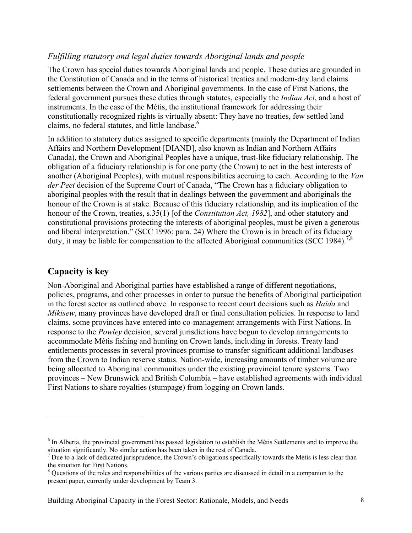# *Fulfilling statutory and legal duties towards Aboriginal lands and people*

The Crown has special duties towards Aboriginal lands and people. These duties are grounded in the Constitution of Canada and in the terms of historical treaties and modern-day land claims settlements between the Crown and Aboriginal governments. In the case of First Nations, the federal government pursues these duties through statutes, especially the *Indian Act*, and a host of instruments. In the case of the Métis, the institutional framework for addressing their constitutionally recognized rights is virtually absent: They have no treaties, few settled land claims, no federal statutes, and little landbase.<sup>6</sup>

In addition to statutory duties assigned to specific departments (mainly the Department of Indian Affairs and Northern Development [DIAND], also known as Indian and Northern Affairs Canada), the Crown and Aboriginal Peoples have a unique, trust-like fiduciary relationship. The obligation of a fiduciary relationship is for one party (the Crown) to act in the best interests of another (Aboriginal Peoples), with mutual responsibilities accruing to each. According to the *Van der Peet* decision of the Supreme Court of Canada, "The Crown has a fiduciary obligation to aboriginal peoples with the result that in dealings between the government and aboriginals the honour of the Crown is at stake. Because of this fiduciary relationship, and its implication of the honour of the Crown, treaties, s.35(1) [of the *Constitution Act, 1982*], and other statutory and constitutional provisions protecting the interests of aboriginal peoples, must be given a generous and liberal interpretation." (SCC 1996: para. 24) Where the Crown is in breach of its fiduciary duty, it may be liable for compensation to the affected Aboriginal communities (SCC 1984).<sup>7,8</sup>

# **Capacity is key**

 $\overline{a}$ 

Non-Aboriginal and Aboriginal parties have established a range of different negotiations, policies, programs, and other processes in order to pursue the benefits of Aboriginal participation in the forest sector as outlined above. In response to recent court decisions such as *Haida* and *Mikisew*, many provinces have developed draft or final consultation policies. In response to land claims, some provinces have entered into co-management arrangements with First Nations. In response to the *Powley* decision, several jurisdictions have begun to develop arrangements to accommodate Métis fishing and hunting on Crown lands, including in forests. Treaty land entitlements processes in several provinces promise to transfer significant additional landbases from the Crown to Indian reserve status. Nation-wide, increasing amounts of timber volume are being allocated to Aboriginal communities under the existing provincial tenure systems. Two provinces – New Brunswick and British Columbia – have established agreements with individual First Nations to share royalties (stumpage) from logging on Crown lands.

<sup>&</sup>lt;sup>6</sup> In Alberta, the provincial government has passed legislation to establish the Métis Settlements and to improve the situation significantly. No similar action has been taken in the rest of Canada.

<sup>7</sup> Due to a lack of dedicated jurisprudence, the Crown's obligations specifically towards the Métis is less clear than the situation for First Nations.

<sup>&</sup>lt;sup>8</sup> Questions of the roles and responsibilities of the various parties are discussed in detail in a companion to the present paper, currently under development by Team 3.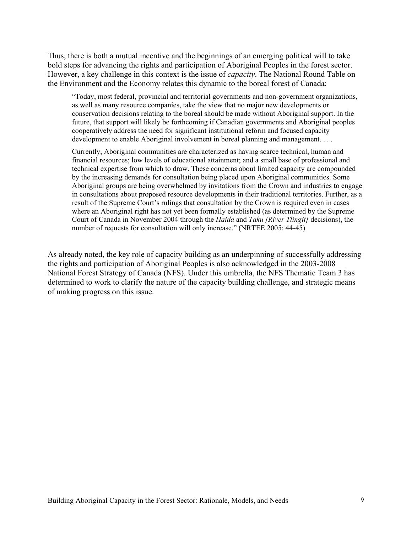Thus, there is both a mutual incentive and the beginnings of an emerging political will to take bold steps for advancing the rights and participation of Aboriginal Peoples in the forest sector. However, a key challenge in this context is the issue of *capacity*. The National Round Table on the Environment and the Economy relates this dynamic to the boreal forest of Canada:

"Today, most federal, provincial and territorial governments and non-government organizations, as well as many resource companies, take the view that no major new developments or conservation decisions relating to the boreal should be made without Aboriginal support. In the future, that support will likely be forthcoming if Canadian governments and Aboriginal peoples cooperatively address the need for significant institutional reform and focused capacity development to enable Aboriginal involvement in boreal planning and management. . . .

Currently, Aboriginal communities are characterized as having scarce technical, human and financial resources; low levels of educational attainment; and a small base of professional and technical expertise from which to draw. These concerns about limited capacity are compounded by the increasing demands for consultation being placed upon Aboriginal communities. Some Aboriginal groups are being overwhelmed by invitations from the Crown and industries to engage in consultations about proposed resource developments in their traditional territories. Further, as a result of the Supreme Court's rulings that consultation by the Crown is required even in cases where an Aboriginal right has not yet been formally established (as determined by the Supreme Court of Canada in November 2004 through the *Haida* and *Taku [River Tlingit]* decisions), the number of requests for consultation will only increase." (NRTEE 2005: 44-45)

As already noted, the key role of capacity building as an underpinning of successfully addressing the rights and participation of Aboriginal Peoples is also acknowledged in the 2003-2008 National Forest Strategy of Canada (NFS). Under this umbrella, the NFS Thematic Team 3 has determined to work to clarify the nature of the capacity building challenge, and strategic means of making progress on this issue.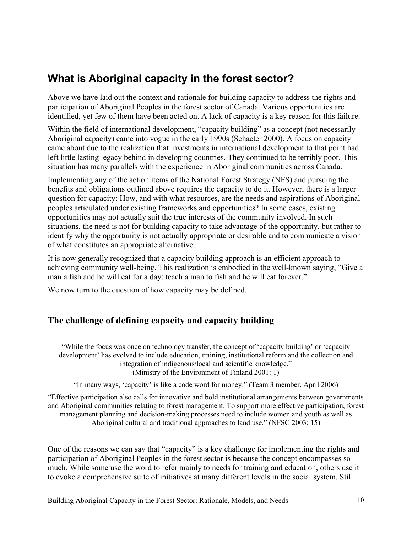# **What is Aboriginal capacity in the forest sector?**

Above we have laid out the context and rationale for building capacity to address the rights and participation of Aboriginal Peoples in the forest sector of Canada. Various opportunities are identified, yet few of them have been acted on. A lack of capacity is a key reason for this failure.

Within the field of international development, "capacity building" as a concept (not necessarily Aboriginal capacity) came into vogue in the early 1990s (Schacter 2000). A focus on capacity came about due to the realization that investments in international development to that point had left little lasting legacy behind in developing countries. They continued to be terribly poor. This situation has many parallels with the experience in Aboriginal communities across Canada.

Implementing any of the action items of the National Forest Strategy (NFS) and pursuing the benefits and obligations outlined above requires the capacity to do it. However, there is a larger question for capacity: How, and with what resources, are the needs and aspirations of Aboriginal peoples articulated under existing frameworks and opportunities? In some cases, existing opportunities may not actually suit the true interests of the community involved. In such situations, the need is not for building capacity to take advantage of the opportunity, but rather to identify why the opportunity is not actually appropriate or desirable and to communicate a vision of what constitutes an appropriate alternative.

It is now generally recognized that a capacity building approach is an efficient approach to achieving community well-being. This realization is embodied in the well-known saying, "Give a man a fish and he will eat for a day; teach a man to fish and he will eat forever."

We now turn to the question of how capacity may be defined.

# **The challenge of defining capacity and capacity building**

"While the focus was once on technology transfer, the concept of 'capacity building' or 'capacity development' has evolved to include education, training, institutional reform and the collection and integration of indigenous/local and scientific knowledge." (Ministry of the Environment of Finland 2001: 1)

"In many ways, 'capacity' is like a code word for money." (Team 3 member, April 2006)

"Effective participation also calls for innovative and bold institutional arrangements between governments and Aboriginal communities relating to forest management. To support more effective participation, forest management planning and decision-making processes need to include women and youth as well as Aboriginal cultural and traditional approaches to land use." (NFSC 2003: 15)

One of the reasons we can say that "capacity" is a key challenge for implementing the rights and participation of Aboriginal Peoples in the forest sector is because the concept encompasses so much. While some use the word to refer mainly to needs for training and education, others use it to evoke a comprehensive suite of initiatives at many different levels in the social system. Still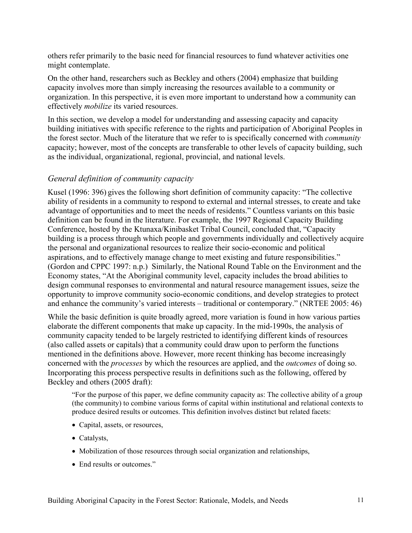others refer primarily to the basic need for financial resources to fund whatever activities one might contemplate.

On the other hand, researchers such as Beckley and others (2004) emphasize that building capacity involves more than simply increasing the resources available to a community or organization. In this perspective, it is even more important to understand how a community can effectively *mobilize* its varied resources.

In this section, we develop a model for understanding and assessing capacity and capacity building initiatives with specific reference to the rights and participation of Aboriginal Peoples in the forest sector. Much of the literature that we refer to is specifically concerned with *community* capacity; however, most of the concepts are transferable to other levels of capacity building, such as the individual, organizational, regional, provincial, and national levels.

# *General definition of community capacity*

Kusel (1996: 396) gives the following short definition of community capacity: "The collective ability of residents in a community to respond to external and internal stresses, to create and take advantage of opportunities and to meet the needs of residents." Countless variants on this basic definition can be found in the literature. For example, the 1997 Regional Capacity Building Conference, hosted by the Ktunaxa/Kinibasket Tribal Council, concluded that, "Capacity building is a process through which people and governments individually and collectively acquire the personal and organizational resources to realize their socio-economic and political aspirations, and to effectively manage change to meet existing and future responsibilities." (Gordon and CPPC 1997: n.p.) Similarly, the National Round Table on the Environment and the Economy states, "At the Aboriginal community level, capacity includes the broad abilities to design communal responses to environmental and natural resource management issues, seize the opportunity to improve community socio-economic conditions, and develop strategies to protect and enhance the community's varied interests – traditional or contemporary." (NRTEE 2005: 46)

While the basic definition is quite broadly agreed, more variation is found in how various parties elaborate the different components that make up capacity. In the mid-1990s, the analysis of community capacity tended to be largely restricted to identifying different kinds of resources (also called assets or capitals) that a community could draw upon to perform the functions mentioned in the definitions above. However, more recent thinking has become increasingly concerned with the *processes* by which the resources are applied, and the *outcomes* of doing so. Incorporating this process perspective results in definitions such as the following, offered by Beckley and others (2005 draft):

"For the purpose of this paper, we define community capacity as: The collective ability of a group (the community) to combine various forms of capital within institutional and relational contexts to produce desired results or outcomes. This definition involves distinct but related facets:

- Capital, assets, or resources,
- Catalysts,
- Mobilization of those resources through social organization and relationships,
- End results or outcomes."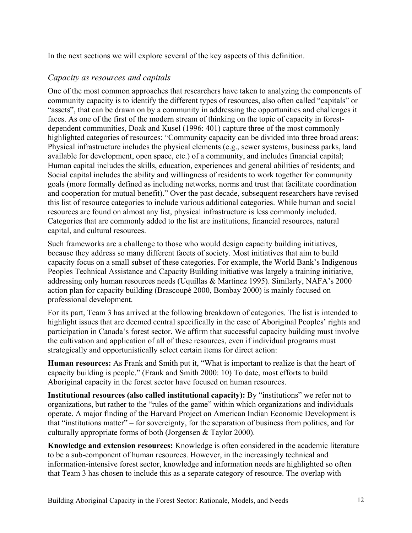In the next sections we will explore several of the key aspects of this definition.

# *Capacity as resources and capitals*

One of the most common approaches that researchers have taken to analyzing the components of community capacity is to identify the different types of resources, also often called "capitals" or "assets", that can be drawn on by a community in addressing the opportunities and challenges it faces. As one of the first of the modern stream of thinking on the topic of capacity in forestdependent communities, Doak and Kusel (1996: 401) capture three of the most commonly highlighted categories of resources: "Community capacity can be divided into three broad areas: Physical infrastructure includes the physical elements (e.g., sewer systems, business parks, land available for development, open space, etc.) of a community, and includes financial capital; Human capital includes the skills, education, experiences and general abilities of residents; and Social capital includes the ability and willingness of residents to work together for community goals (more formally defined as including networks, norms and trust that facilitate coordination and cooperation for mutual benefit)." Over the past decade, subsequent researchers have revised this list of resource categories to include various additional categories. While human and social resources are found on almost any list, physical infrastructure is less commonly included. Categories that are commonly added to the list are institutions, financial resources, natural capital, and cultural resources.

Such frameworks are a challenge to those who would design capacity building initiatives, because they address so many different facets of society. Most initiatives that aim to build capacity focus on a small subset of these categories. For example, the World Bank's Indigenous Peoples Technical Assistance and Capacity Building initiative was largely a training initiative, addressing only human resources needs (Uquillas & Martinez 1995). Similarly, NAFA's 2000 action plan for capacity building (Brascoupé 2000, Bombay 2000) is mainly focused on professional development.

For its part, Team 3 has arrived at the following breakdown of categories. The list is intended to highlight issues that are deemed central specifically in the case of Aboriginal Peoples' rights and participation in Canada's forest sector. We affirm that successful capacity building must involve the cultivation and application of all of these resources, even if individual programs must strategically and opportunistically select certain items for direct action:

**Human resources:** As Frank and Smith put it, "What is important to realize is that the heart of capacity building is people." (Frank and Smith 2000: 10) To date, most efforts to build Aboriginal capacity in the forest sector have focused on human resources.

**Institutional resources (also called institutional capacity):** By "institutions" we refer not to organizations, but rather to the "rules of the game" within which organizations and individuals operate. A major finding of the Harvard Project on American Indian Economic Development is that "institutions matter" – for sovereignty, for the separation of business from politics, and for culturally appropriate forms of both (Jorgensen & Taylor 2000).

**Knowledge and extension resources:** Knowledge is often considered in the academic literature to be a sub-component of human resources. However, in the increasingly technical and information-intensive forest sector, knowledge and information needs are highlighted so often that Team 3 has chosen to include this as a separate category of resource. The overlap with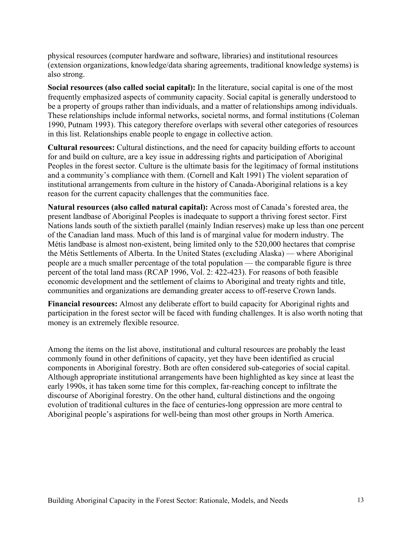physical resources (computer hardware and software, libraries) and institutional resources (extension organizations, knowledge/data sharing agreements, traditional knowledge systems) is also strong.

**Social resources (also called social capital):** In the literature, social capital is one of the most frequently emphasized aspects of community capacity. Social capital is generally understood to be a property of groups rather than individuals, and a matter of relationships among individuals. These relationships include informal networks, societal norms, and formal institutions (Coleman 1990, Putnam 1993). This category therefore overlaps with several other categories of resources in this list. Relationships enable people to engage in collective action.

**Cultural resources:** Cultural distinctions, and the need for capacity building efforts to account for and build on culture, are a key issue in addressing rights and participation of Aboriginal Peoples in the forest sector. Culture is the ultimate basis for the legitimacy of formal institutions and a community's compliance with them. (Cornell and Kalt 1991) The violent separation of institutional arrangements from culture in the history of Canada-Aboriginal relations is a key reason for the current capacity challenges that the communities face.

**Natural resources (also called natural capital):** Across most of Canada's forested area, the present landbase of Aboriginal Peoples is inadequate to support a thriving forest sector. First Nations lands south of the sixtieth parallel (mainly Indian reserves) make up less than one percent of the Canadian land mass. Much of this land is of marginal value for modern industry. The Métis landbase is almost non-existent, being limited only to the 520,000 hectares that comprise the Métis Settlements of Alberta. In the United States (excluding Alaska) — where Aboriginal people are a much smaller percentage of the total population — the comparable figure is three percent of the total land mass (RCAP 1996, Vol. 2: 422-423). For reasons of both feasible economic development and the settlement of claims to Aboriginal and treaty rights and title, communities and organizations are demanding greater access to off-reserve Crown lands.

**Financial resources:** Almost any deliberate effort to build capacity for Aboriginal rights and participation in the forest sector will be faced with funding challenges. It is also worth noting that money is an extremely flexible resource.

Among the items on the list above, institutional and cultural resources are probably the least commonly found in other definitions of capacity, yet they have been identified as crucial components in Aboriginal forestry. Both are often considered sub-categories of social capital. Although appropriate institutional arrangements have been highlighted as key since at least the early 1990s, it has taken some time for this complex, far-reaching concept to infiltrate the discourse of Aboriginal forestry. On the other hand, cultural distinctions and the ongoing evolution of traditional cultures in the face of centuries-long oppression are more central to Aboriginal people's aspirations for well-being than most other groups in North America.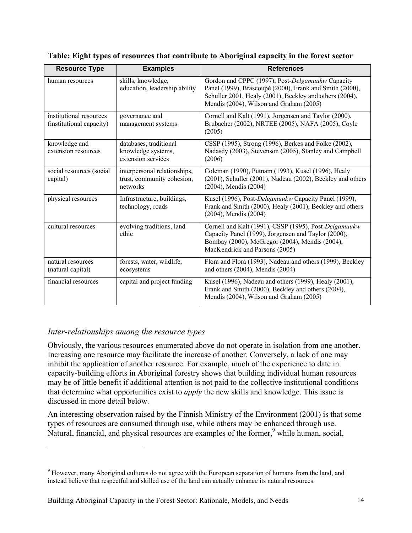| <b>Resource Type</b>                                | <b>Examples</b>                                                        | <b>References</b>                                                                                                                                                                                                 |
|-----------------------------------------------------|------------------------------------------------------------------------|-------------------------------------------------------------------------------------------------------------------------------------------------------------------------------------------------------------------|
| human resources                                     | skills, knowledge,<br>education, leadership ability                    | Gordon and CPPC (1997), Post-Delgamuukw Capacity<br>Panel (1999), Brascoupé (2000), Frank and Smith (2000),<br>Schuller 2001, Healy (2001), Beckley and others (2004),<br>Mendis (2004), Wilson and Graham (2005) |
| institutional resources<br>(institutional capacity) | governance and<br>management systems                                   | Cornell and Kalt (1991), Jorgensen and Taylor (2000),<br>Brubacher (2002), NRTEE (2005), NAFA (2005), Coyle<br>(2005)                                                                                             |
| knowledge and<br>extension resources                | databases, traditional<br>knowledge systems,<br>extension services     | CSSP (1995), Strong (1996), Berkes and Folke (2002),<br>Nadasdy (2003), Stevenson (2005), Stanley and Campbell<br>(2006)                                                                                          |
| social resources (social<br>capital)                | interpersonal relationships,<br>trust, community cohesion,<br>networks | Coleman (1990), Putnam (1993), Kusel (1996), Healy<br>(2001), Schuller (2001), Nadeau (2002), Beckley and others<br>$(2004)$ , Mendis $(2004)$                                                                    |
| physical resources                                  | Infrastructure, buildings,<br>technology, roads                        | Kusel (1996), Post-Delgamuukw Capacity Panel (1999),<br>Frank and Smith (2000), Healy (2001), Beckley and others<br>$(2004)$ , Mendis $(2004)$                                                                    |
| cultural resources                                  | evolving traditions, land<br>ethic                                     | Cornell and Kalt (1991), CSSP (1995), Post-Delgamuukw<br>Capacity Panel (1999), Jorgensen and Taylor (2000),<br>Bombay (2000), McGregor (2004), Mendis (2004),<br>MacKendrick and Parsons (2005)                  |
| natural resources<br>(natural capital)              | forests, water, wildlife,<br>ecosystems                                | Flora and Flora (1993), Nadeau and others (1999), Beckley<br>and others (2004), Mendis (2004)                                                                                                                     |
| financial resources                                 | capital and project funding                                            | Kusel (1996), Nadeau and others (1999), Healy (2001),<br>Frank and Smith (2000), Beckley and others (2004),<br>Mendis (2004), Wilson and Graham (2005)                                                            |

**Table: Eight types of resources that contribute to Aboriginal capacity in the forest sector** 

# *Inter-relationships among the resource types*

 $\overline{a}$ 

Obviously, the various resources enumerated above do not operate in isolation from one another. Increasing one resource may facilitate the increase of another. Conversely, a lack of one may inhibit the application of another resource. For example, much of the experience to date in capacity-building efforts in Aboriginal forestry shows that building individual human resources may be of little benefit if additional attention is not paid to the collective institutional conditions that determine what opportunities exist to *apply* the new skills and knowledge. This issue is discussed in more detail below.

An interesting observation raised by the Finnish Ministry of the Environment (2001) is that some types of resources are consumed through use, while others may be enhanced through use. Natural, financial, and physical resources are examples of the former, $9$  while human, social,

<sup>&</sup>lt;sup>9</sup> However, many Aboriginal cultures do not agree with the European separation of humans from the land, and instead believe that respectful and skilled use of the land can actually enhance its natural resources.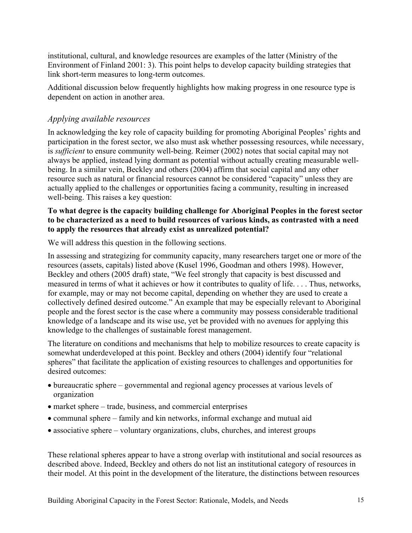institutional, cultural, and knowledge resources are examples of the latter (Ministry of the Environment of Finland 2001: 3). This point helps to develop capacity building strategies that link short-term measures to long-term outcomes.

Additional discussion below frequently highlights how making progress in one resource type is dependent on action in another area.

# *Applying available resources*

In acknowledging the key role of capacity building for promoting Aboriginal Peoples' rights and participation in the forest sector, we also must ask whether possessing resources, while necessary, is *sufficient* to ensure community well-being. Reimer (2002) notes that social capital may not always be applied, instead lying dormant as potential without actually creating measurable wellbeing. In a similar vein, Beckley and others (2004) affirm that social capital and any other resource such as natural or financial resources cannot be considered "capacity" unless they are actually applied to the challenges or opportunities facing a community, resulting in increased well-being. This raises a key question:

# **To what degree is the capacity building challenge for Aboriginal Peoples in the forest sector to be characterized as a need to build resources of various kinds, as contrasted with a need to apply the resources that already exist as unrealized potential?**

We will address this question in the following sections.

In assessing and strategizing for community capacity, many researchers target one or more of the resources (assets, capitals) listed above (Kusel 1996, Goodman and others 1998). However, Beckley and others (2005 draft) state, "We feel strongly that capacity is best discussed and measured in terms of what it achieves or how it contributes to quality of life. . . . Thus, networks, for example, may or may not become capital, depending on whether they are used to create a collectively defined desired outcome." An example that may be especially relevant to Aboriginal people and the forest sector is the case where a community may possess considerable traditional knowledge of a landscape and its wise use, yet be provided with no avenues for applying this knowledge to the challenges of sustainable forest management.

The literature on conditions and mechanisms that help to mobilize resources to create capacity is somewhat underdeveloped at this point. Beckley and others (2004) identify four "relational spheres" that facilitate the application of existing resources to challenges and opportunities for desired outcomes:

- bureaucratic sphere governmental and regional agency processes at various levels of organization
- market sphere trade, business, and commercial enterprises
- communal sphere family and kin networks, informal exchange and mutual aid
- associative sphere voluntary organizations, clubs, churches, and interest groups

These relational spheres appear to have a strong overlap with institutional and social resources as described above. Indeed, Beckley and others do not list an institutional category of resources in their model. At this point in the development of the literature, the distinctions between resources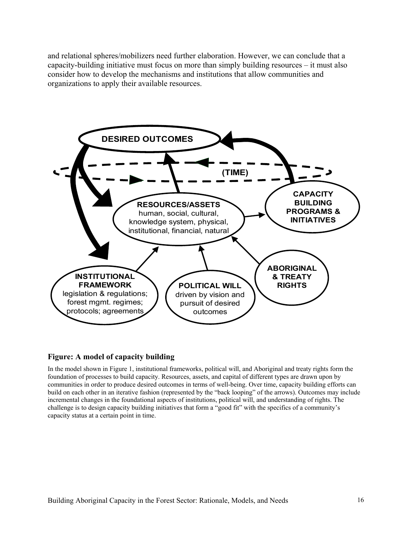and relational spheres/mobilizers need further elaboration. However, we can conclude that a capacity-building initiative must focus on more than simply building resources – it must also consider how to develop the mechanisms and institutions that allow communities and organizations to apply their available resources.



#### **Figure: A model of capacity building**

In the model shown in Figure 1, institutional frameworks, political will, and Aboriginal and treaty rights form the foundation of processes to build capacity. Resources, assets, and capital of different types are drawn upon by communities in order to produce desired outcomes in terms of well-being. Over time, capacity building efforts can build on each other in an iterative fashion (represented by the "back looping" of the arrows). Outcomes may include incremental changes in the foundational aspects of institutions, political will, and understanding of rights. The challenge is to design capacity building initiatives that form a "good fit" with the specifics of a community's capacity status at a certain point in time.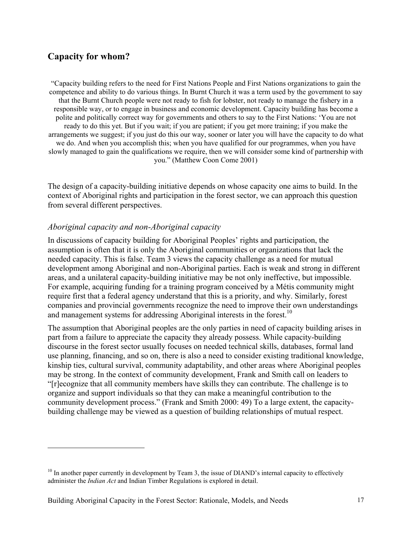# **Capacity for whom?**

 $\overline{a}$ 

"Capacity building refers to the need for First Nations People and First Nations organizations to gain the competence and ability to do various things. In Burnt Church it was a term used by the government to say that the Burnt Church people were not ready to fish for lobster, not ready to manage the fishery in a responsible way, or to engage in business and economic development. Capacity building has become a polite and politically correct way for governments and others to say to the First Nations: 'You are not ready to do this yet. But if you wait; if you are patient; if you get more training; if you make the arrangements we suggest; if you just do this our way, sooner or later you will have the capacity to do what we do. And when you accomplish this; when you have qualified for our programmes, when you have slowly managed to gain the qualifications we require, then we will consider some kind of partnership with you." (Matthew Coon Come 2001)

The design of a capacity-building initiative depends on whose capacity one aims to build. In the context of Aboriginal rights and participation in the forest sector, we can approach this question from several different perspectives.

# *Aboriginal capacity and non-Aboriginal capacity*

In discussions of capacity building for Aboriginal Peoples' rights and participation, the assumption is often that it is only the Aboriginal communities or organizations that lack the needed capacity. This is false. Team 3 views the capacity challenge as a need for mutual development among Aboriginal and non-Aboriginal parties. Each is weak and strong in different areas, and a unilateral capacity-building initiative may be not only ineffective, but impossible. For example, acquiring funding for a training program conceived by a Métis community might require first that a federal agency understand that this is a priority, and why. Similarly, forest companies and provincial governments recognize the need to improve their own understandings and management systems for addressing Aboriginal interests in the forest.<sup>10</sup>

The assumption that Aboriginal peoples are the only parties in need of capacity building arises in part from a failure to appreciate the capacity they already possess. While capacity-building discourse in the forest sector usually focuses on needed technical skills, databases, formal land use planning, financing, and so on, there is also a need to consider existing traditional knowledge, kinship ties, cultural survival, community adaptability, and other areas where Aboriginal peoples may be strong. In the context of community development, Frank and Smith call on leaders to "[r]ecognize that all community members have skills they can contribute. The challenge is to organize and support individuals so that they can make a meaningful contribution to the community development process." (Frank and Smith 2000: 49) To a large extent, the capacitybuilding challenge may be viewed as a question of building relationships of mutual respect.

 $10$  In another paper currently in development by Team 3, the issue of DIAND's internal capacity to effectively administer the *Indian Act* and Indian Timber Regulations is explored in detail.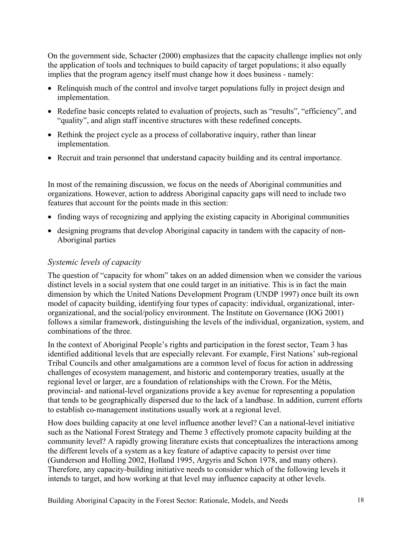On the government side, Schacter (2000) emphasizes that the capacity challenge implies not only the application of tools and techniques to build capacity of target populations; it also equally implies that the program agency itself must change how it does business - namely:

- Relinquish much of the control and involve target populations fully in project design and implementation.
- Redefine basic concepts related to evaluation of projects, such as "results", "efficiency", and "quality", and align staff incentive structures with these redefined concepts.
- Rethink the project cycle as a process of collaborative inquiry, rather than linear implementation.
- Recruit and train personnel that understand capacity building and its central importance.

In most of the remaining discussion, we focus on the needs of Aboriginal communities and organizations. However, action to address Aboriginal capacity gaps will need to include two features that account for the points made in this section:

- finding ways of recognizing and applying the existing capacity in Aboriginal communities
- designing programs that develop Aboriginal capacity in tandem with the capacity of non-Aboriginal parties

# *Systemic levels of capacity*

The question of "capacity for whom" takes on an added dimension when we consider the various distinct levels in a social system that one could target in an initiative. This is in fact the main dimension by which the United Nations Development Program (UNDP 1997) once built its own model of capacity building, identifying four types of capacity: individual, organizational, interorganizational, and the social/policy environment. The Institute on Governance (IOG 2001) follows a similar framework, distinguishing the levels of the individual, organization, system, and combinations of the three.

In the context of Aboriginal People's rights and participation in the forest sector, Team 3 has identified additional levels that are especially relevant. For example, First Nations' sub-regional Tribal Councils and other amalgamations are a common level of focus for action in addressing challenges of ecosystem management, and historic and contemporary treaties, usually at the regional level or larger, are a foundation of relationships with the Crown. For the Métis, provincial- and national-level organizations provide a key avenue for representing a population that tends to be geographically dispersed due to the lack of a landbase. In addition, current efforts to establish co-management institutions usually work at a regional level.

How does building capacity at one level influence another level? Can a national-level initiative such as the National Forest Strategy and Theme 3 effectively promote capacity building at the community level? A rapidly growing literature exists that conceptualizes the interactions among the different levels of a system as a key feature of adaptive capacity to persist over time (Gunderson and Holling 2002, Holland 1995, Argyris and Schon 1978, and many others). Therefore, any capacity-building initiative needs to consider which of the following levels it intends to target, and how working at that level may influence capacity at other levels.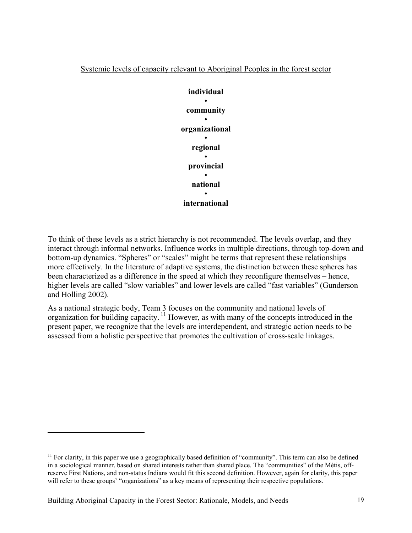



To think of these levels as a strict hierarchy is not recommended. The levels overlap, and they interact through informal networks. Influence works in multiple directions, through top-down and bottom-up dynamics. "Spheres" or "scales" might be terms that represent these relationships more effectively. In the literature of adaptive systems, the distinction between these spheres has been characterized as a difference in the speed at which they reconfigure themselves – hence, higher levels are called "slow variables" and lower levels are called "fast variables" (Gunderson and Holling 2002).

As a national strategic body, Team 3 focuses on the community and national levels of organization for building capacity.<sup>11</sup> However, as with many of the concepts introduced in the present paper, we recognize that the levels are interdependent, and strategic action needs to be assessed from a holistic perspective that promotes the cultivation of cross-scale linkages.

 $11$  For clarity, in this paper we use a geographically based definition of "community". This term can also be defined in a sociological manner, based on shared interests rather than shared place. The "communities" of the Métis, offreserve First Nations, and non-status Indians would fit this second definition. However, again for clarity, this paper will refer to these groups' "organizations" as a key means of representing their respective populations.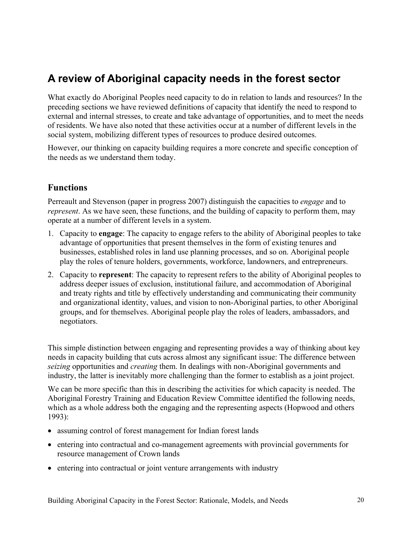# **A review of Aboriginal capacity needs in the forest sector**

What exactly do Aboriginal Peoples need capacity to do in relation to lands and resources? In the preceding sections we have reviewed definitions of capacity that identify the need to respond to external and internal stresses, to create and take advantage of opportunities, and to meet the needs of residents. We have also noted that these activities occur at a number of different levels in the social system, mobilizing different types of resources to produce desired outcomes.

However, our thinking on capacity building requires a more concrete and specific conception of the needs as we understand them today.

# **Functions**

Perreault and Stevenson (paper in progress 2007) distinguish the capacities to *engage* and to *represent*. As we have seen, these functions, and the building of capacity to perform them, may operate at a number of different levels in a system.

- 1. Capacity to **engage**: The capacity to engage refers to the ability of Aboriginal peoples to take advantage of opportunities that present themselves in the form of existing tenures and businesses, established roles in land use planning processes, and so on. Aboriginal people play the roles of tenure holders, governments, workforce, landowners, and entrepreneurs.
- 2. Capacity to **represent**: The capacity to represent refers to the ability of Aboriginal peoples to address deeper issues of exclusion, institutional failure, and accommodation of Aboriginal and treaty rights and title by effectively understanding and communicating their community and organizational identity, values, and vision to non-Aboriginal parties, to other Aboriginal groups, and for themselves. Aboriginal people play the roles of leaders, ambassadors, and negotiators.

This simple distinction between engaging and representing provides a way of thinking about key needs in capacity building that cuts across almost any significant issue: The difference between *seizing* opportunities and *creating* them. In dealings with non-Aboriginal governments and industry, the latter is inevitably more challenging than the former to establish as a joint project.

We can be more specific than this in describing the activities for which capacity is needed. The Aboriginal Forestry Training and Education Review Committee identified the following needs, which as a whole address both the engaging and the representing aspects (Hopwood and others 1993):

- assuming control of forest management for Indian forest lands
- entering into contractual and co-management agreements with provincial governments for resource management of Crown lands
- entering into contractual or joint venture arrangements with industry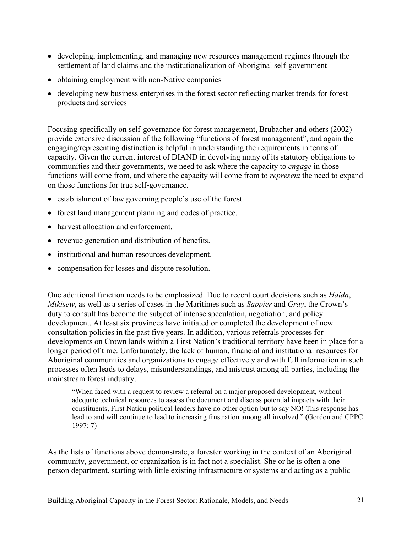- developing, implementing, and managing new resources management regimes through the settlement of land claims and the institutionalization of Aboriginal self-government
- obtaining employment with non-Native companies
- developing new business enterprises in the forest sector reflecting market trends for forest products and services

Focusing specifically on self-governance for forest management, Brubacher and others (2002) provide extensive discussion of the following "functions of forest management", and again the engaging/representing distinction is helpful in understanding the requirements in terms of capacity. Given the current interest of DIAND in devolving many of its statutory obligations to communities and their governments, we need to ask where the capacity to *engage* in those functions will come from, and where the capacity will come from to *represent* the need to expand on those functions for true self-governance.

- establishment of law governing people's use of the forest.
- forest land management planning and codes of practice.
- harvest allocation and enforcement.
- revenue generation and distribution of benefits.
- institutional and human resources development.
- compensation for losses and dispute resolution.

One additional function needs to be emphasized. Due to recent court decisions such as *Haida*, *Mikisew*, as well as a series of cases in the Maritimes such as *Sappier* and *Gray*, the Crown's duty to consult has become the subject of intense speculation, negotiation, and policy development. At least six provinces have initiated or completed the development of new consultation policies in the past five years. In addition, various referrals processes for developments on Crown lands within a First Nation's traditional territory have been in place for a longer period of time. Unfortunately, the lack of human, financial and institutional resources for Aboriginal communities and organizations to engage effectively and with full information in such processes often leads to delays, misunderstandings, and mistrust among all parties, including the mainstream forest industry.

"When faced with a request to review a referral on a major proposed development, without adequate technical resources to assess the document and discuss potential impacts with their constituents, First Nation political leaders have no other option but to say NO! This response has lead to and will continue to lead to increasing frustration among all involved." (Gordon and CPPC 1997: 7)

As the lists of functions above demonstrate, a forester working in the context of an Aboriginal community, government, or organization is in fact not a specialist. She or he is often a oneperson department, starting with little existing infrastructure or systems and acting as a public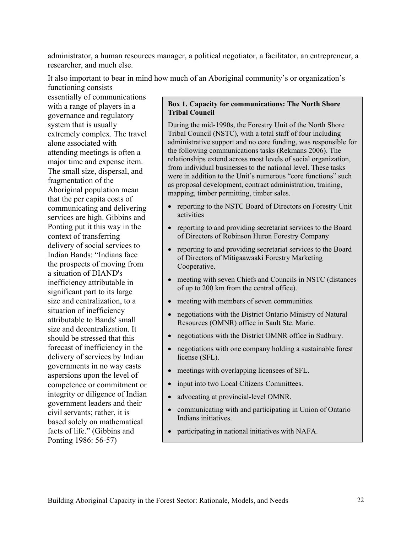administrator, a human resources manager, a political negotiator, a facilitator, an entrepreneur, a researcher, and much else.

It also important to bear in mind how much of an Aboriginal community's or organization's

functioning consists essentially of communications with a range of players in a governance and regulatory system that is usually extremely complex. The travel alone associated with attending meetings is often a major time and expense item. The small size, dispersal, and fragmentation of the Aboriginal population mean that the per capita costs of communicating and delivering services are high. Gibbins and Ponting put it this way in the context of transferring delivery of social services to Indian Bands: "Indians face the prospects of moving from a situation of DIAND's inefficiency attributable in significant part to its large size and centralization, to a situation of inefficiency attributable to Bands' small size and decentralization. It should be stressed that this forecast of inefficiency in the delivery of services by Indian governments in no way casts aspersions upon the level of competence or commitment or integrity or diligence of Indian government leaders and their civil servants; rather, it is based solely on mathematical facts of life." (Gibbins and Ponting 1986: 56-57)

#### **Box 1. Capacity for communications: The North Shore Tribal Council**

During the mid-1990s, the Forestry Unit of the North Shore Tribal Council (NSTC), with a total staff of four including administrative support and no core funding, was responsible for the following communications tasks (Rekmans 2006). The relationships extend across most levels of social organization, from individual businesses to the national level. These tasks were in addition to the Unit's numerous "core functions" such as proposal development, contract administration, training, mapping, timber permitting, timber sales.

- reporting to the NSTC Board of Directors on Forestry Unit activities
- reporting to and providing secretariat services to the Board of Directors of Robinson Huron Forestry Company
- reporting to and providing secretariat services to the Board of Directors of Mitigaawaaki Forestry Marketing Cooperative.
- meeting with seven Chiefs and Councils in NSTC (distances of up to 200 km from the central office).
- meeting with members of seven communities.
- negotiations with the District Ontario Ministry of Natural Resources (OMNR) office in Sault Ste. Marie.
- negotiations with the District OMNR office in Sudbury.
- negotiations with one company holding a sustainable forest license (SFL).
- meetings with overlapping licensees of SFL.
- input into two Local Citizens Committees.
- advocating at provincial-level OMNR.
- communicating with and participating in Union of Ontario Indians initiatives.
- participating in national initiatives with NAFA.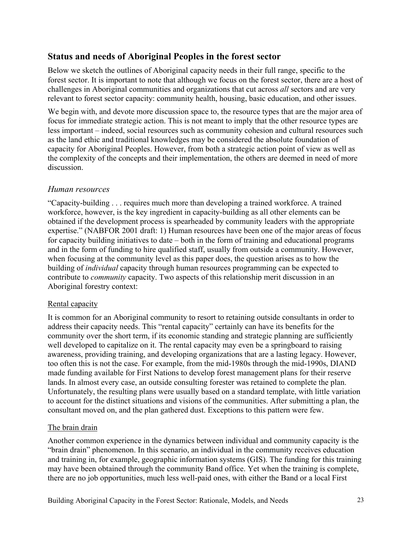# **Status and needs of Aboriginal Peoples in the forest sector**

Below we sketch the outlines of Aboriginal capacity needs in their full range, specific to the forest sector. It is important to note that although we focus on the forest sector, there are a host of challenges in Aboriginal communities and organizations that cut across *all* sectors and are very relevant to forest sector capacity: community health, housing, basic education, and other issues.

We begin with, and devote more discussion space to, the resource types that are the major area of focus for immediate strategic action. This is not meant to imply that the other resource types are less important – indeed, social resources such as community cohesion and cultural resources such as the land ethic and traditional knowledges may be considered the absolute foundation of capacity for Aboriginal Peoples. However, from both a strategic action point of view as well as the complexity of the concepts and their implementation, the others are deemed in need of more discussion.

# *Human resources*

"Capacity-building . . . requires much more than developing a trained workforce. A trained workforce, however, is the key ingredient in capacity-building as all other elements can be obtained if the development process is spearheaded by community leaders with the appropriate expertise." (NABFOR 2001 draft: 1) Human resources have been one of the major areas of focus for capacity building initiatives to date – both in the form of training and educational programs and in the form of funding to hire qualified staff, usually from outside a community. However, when focusing at the community level as this paper does, the question arises as to how the building of *individual* capacity through human resources programming can be expected to contribute to *community* capacity. Two aspects of this relationship merit discussion in an Aboriginal forestry context:

# Rental capacity

It is common for an Aboriginal community to resort to retaining outside consultants in order to address their capacity needs. This "rental capacity" certainly can have its benefits for the community over the short term, if its economic standing and strategic planning are sufficiently well developed to capitalize on it. The rental capacity may even be a springboard to raising awareness, providing training, and developing organizations that are a lasting legacy. However, too often this is not the case. For example, from the mid-1980s through the mid-1990s, DIAND made funding available for First Nations to develop forest management plans for their reserve lands. In almost every case, an outside consulting forester was retained to complete the plan. Unfortunately, the resulting plans were usually based on a standard template, with little variation to account for the distinct situations and visions of the communities. After submitting a plan, the consultant moved on, and the plan gathered dust. Exceptions to this pattern were few.

# The brain drain

Another common experience in the dynamics between individual and community capacity is the "brain drain" phenomenon. In this scenario, an individual in the community receives education and training in, for example, geographic information systems (GIS). The funding for this training may have been obtained through the community Band office. Yet when the training is complete, there are no job opportunities, much less well-paid ones, with either the Band or a local First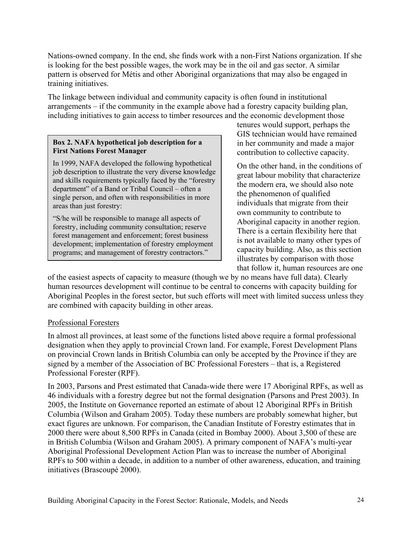Nations-owned company. In the end, she finds work with a non-First Nations organization. If she is looking for the best possible wages, the work may be in the oil and gas sector. A similar pattern is observed for Métis and other Aboriginal organizations that may also be engaged in training initiatives.

The linkage between individual and community capacity is often found in institutional arrangements – if the community in the example above had a forestry capacity building plan, including initiatives to gain access to timber resources and the economic development those

#### **Box 2. NAFA hypothetical job description for a First Nations Forest Manager**

In 1999, NAFA developed the following hypothetical job description to illustrate the very diverse knowledge and skills requirements typically faced by the "forestry department" of a Band or Tribal Council – often a single person, and often with responsibilities in more areas than just forestry:

"S/he will be responsible to manage all aspects of forestry, including community consultation; reserve forest management and enforcement; forest business development; implementation of forestry employment programs; and management of forestry contractors."

tenures would support, perhaps the GIS technician would have remained in her community and made a major contribution to collective capacity.

On the other hand, in the conditions of great labour mobility that characterize the modern era, we should also note the phenomenon of qualified individuals that migrate from their own community to contribute to Aboriginal capacity in another region. There is a certain flexibility here that is not available to many other types of capacity building. Also, as this section illustrates by comparison with those that follow it, human resources are one

of the easiest aspects of capacity to measure (though we by no means have full data). Clearly human resources development will continue to be central to concerns with capacity building for Aboriginal Peoples in the forest sector, but such efforts will meet with limited success unless they are combined with capacity building in other areas.

# Professional Foresters

In almost all provinces, at least some of the functions listed above require a formal professional designation when they apply to provincial Crown land. For example, Forest Development Plans on provincial Crown lands in British Columbia can only be accepted by the Province if they are signed by a member of the Association of BC Professional Foresters – that is, a Registered Professional Forester (RPF).

In 2003, Parsons and Prest estimated that Canada-wide there were 17 Aboriginal RPFs, as well as 46 individuals with a forestry degree but not the formal designation (Parsons and Prest 2003). In 2005, the Institute on Governance reported an estimate of about 12 Aboriginal RPFs in British Columbia (Wilson and Graham 2005). Today these numbers are probably somewhat higher, but exact figures are unknown. For comparison, the Canadian Institute of Forestry estimates that in 2000 there were about 8,500 RPFs in Canada (cited in Bombay 2000). About 3,500 of these are in British Columbia (Wilson and Graham 2005). A primary component of NAFA's multi-year Aboriginal Professional Development Action Plan was to increase the number of Aboriginal RPFs to 500 within a decade, in addition to a number of other awareness, education, and training initiatives (Brascoupé 2000).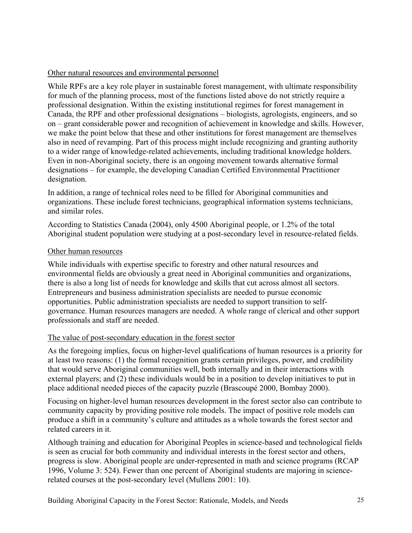## Other natural resources and environmental personnel

While RPFs are a key role player in sustainable forest management, with ultimate responsibility for much of the planning process, most of the functions listed above do not strictly require a professional designation. Within the existing institutional regimes for forest management in Canada, the RPF and other professional designations – biologists, agrologists, engineers, and so on – grant considerable power and recognition of achievement in knowledge and skills. However, we make the point below that these and other institutions for forest management are themselves also in need of revamping. Part of this process might include recognizing and granting authority to a wider range of knowledge-related achievements, including traditional knowledge holders. Even in non-Aboriginal society, there is an ongoing movement towards alternative formal designations – for example, the developing Canadian Certified Environmental Practitioner designation.

In addition, a range of technical roles need to be filled for Aboriginal communities and organizations. These include forest technicians, geographical information systems technicians, and similar roles.

According to Statistics Canada (2004), only 4500 Aboriginal people, or 1.2% of the total Aboriginal student population were studying at a post-secondary level in resource-related fields.

## Other human resources

While individuals with expertise specific to forestry and other natural resources and environmental fields are obviously a great need in Aboriginal communities and organizations, there is also a long list of needs for knowledge and skills that cut across almost all sectors. Entrepreneurs and business administration specialists are needed to pursue economic opportunities. Public administration specialists are needed to support transition to selfgovernance. Human resources managers are needed. A whole range of clerical and other support professionals and staff are needed.

# The value of post-secondary education in the forest sector

As the foregoing implies, focus on higher-level qualifications of human resources is a priority for at least two reasons: (1) the formal recognition grants certain privileges, power, and credibility that would serve Aboriginal communities well, both internally and in their interactions with external players; and (2) these individuals would be in a position to develop initiatives to put in place additional needed pieces of the capacity puzzle (Brascoupé 2000, Bombay 2000).

Focusing on higher-level human resources development in the forest sector also can contribute to community capacity by providing positive role models. The impact of positive role models can produce a shift in a community's culture and attitudes as a whole towards the forest sector and related careers in it.

Although training and education for Aboriginal Peoples in science-based and technological fields is seen as crucial for both community and individual interests in the forest sector and others, progress is slow. Aboriginal people are under-represented in math and science programs (RCAP 1996, Volume 3: 524). Fewer than one percent of Aboriginal students are majoring in sciencerelated courses at the post-secondary level (Mullens 2001: 10).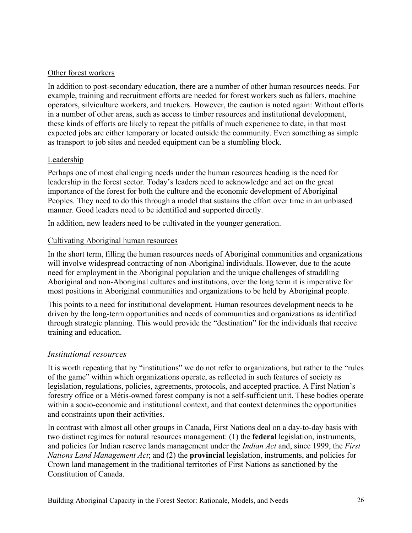## Other forest workers

In addition to post-secondary education, there are a number of other human resources needs. For example, training and recruitment efforts are needed for forest workers such as fallers, machine operators, silviculture workers, and truckers. However, the caution is noted again: Without efforts in a number of other areas, such as access to timber resources and institutional development, these kinds of efforts are likely to repeat the pitfalls of much experience to date, in that most expected jobs are either temporary or located outside the community. Even something as simple as transport to job sites and needed equipment can be a stumbling block.

## Leadership

Perhaps one of most challenging needs under the human resources heading is the need for leadership in the forest sector. Today's leaders need to acknowledge and act on the great importance of the forest for both the culture and the economic development of Aboriginal Peoples. They need to do this through a model that sustains the effort over time in an unbiased manner. Good leaders need to be identified and supported directly.

In addition, new leaders need to be cultivated in the younger generation.

## Cultivating Aboriginal human resources

In the short term, filling the human resources needs of Aboriginal communities and organizations will involve widespread contracting of non-Aboriginal individuals. However, due to the acute need for employment in the Aboriginal population and the unique challenges of straddling Aboriginal and non-Aboriginal cultures and institutions, over the long term it is imperative for most positions in Aboriginal communities and organizations to be held by Aboriginal people.

This points to a need for institutional development. Human resources development needs to be driven by the long-term opportunities and needs of communities and organizations as identified through strategic planning. This would provide the "destination" for the individuals that receive training and education.

# *Institutional resources*

It is worth repeating that by "institutions" we do not refer to organizations, but rather to the "rules of the game" within which organizations operate, as reflected in such features of society as legislation, regulations, policies, agreements, protocols, and accepted practice. A First Nation's forestry office or a Métis-owned forest company is not a self-sufficient unit. These bodies operate within a socio-economic and institutional context, and that context determines the opportunities and constraints upon their activities.

In contrast with almost all other groups in Canada, First Nations deal on a day-to-day basis with two distinct regimes for natural resources management: (1) the **federal** legislation, instruments, and policies for Indian reserve lands management under the *Indian Act* and, since 1999, the *First Nations Land Management Act*; and (2) the **provincial** legislation, instruments, and policies for Crown land management in the traditional territories of First Nations as sanctioned by the Constitution of Canada.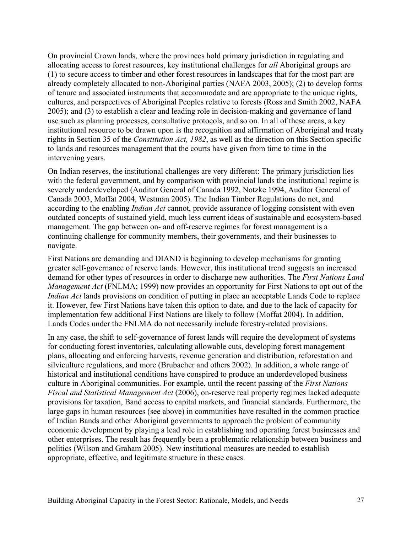On provincial Crown lands, where the provinces hold primary jurisdiction in regulating and allocating access to forest resources, key institutional challenges for *all* Aboriginal groups are (1) to secure access to timber and other forest resources in landscapes that for the most part are already completely allocated to non-Aboriginal parties (NAFA 2003, 2005); (2) to develop forms of tenure and associated instruments that accommodate and are appropriate to the unique rights, cultures, and perspectives of Aboriginal Peoples relative to forests (Ross and Smith 2002, NAFA 2005); and (3) to establish a clear and leading role in decision-making and governance of land use such as planning processes, consultative protocols, and so on. In all of these areas, a key institutional resource to be drawn upon is the recognition and affirmation of Aboriginal and treaty rights in Section 35 of the *Constitution Act, 1982*, as well as the direction on this Section specific to lands and resources management that the courts have given from time to time in the intervening years.

On Indian reserves, the institutional challenges are very different: The primary jurisdiction lies with the federal government, and by comparison with provincial lands the institutional regime is severely underdeveloped (Auditor General of Canada 1992, Notzke 1994, Auditor General of Canada 2003, Moffat 2004, Westman 2005). The Indian Timber Regulations do not, and according to the enabling *Indian Act* cannot, provide assurance of logging consistent with even outdated concepts of sustained yield, much less current ideas of sustainable and ecosystem-based management. The gap between on- and off-reserve regimes for forest management is a continuing challenge for community members, their governments, and their businesses to navigate.

First Nations are demanding and DIAND is beginning to develop mechanisms for granting greater self-governance of reserve lands. However, this institutional trend suggests an increased demand for other types of resources in order to discharge new authorities. The *First Nations Land Management Act* (FNLMA; 1999) now provides an opportunity for First Nations to opt out of the *Indian Act* lands provisions on condition of putting in place an acceptable Lands Code to replace it. However, few First Nations have taken this option to date, and due to the lack of capacity for implementation few additional First Nations are likely to follow (Moffat 2004). In addition, Lands Codes under the FNLMA do not necessarily include forestry-related provisions.

In any case, the shift to self-governance of forest lands will require the development of systems for conducting forest inventories, calculating allowable cuts, developing forest management plans, allocating and enforcing harvests, revenue generation and distribution, reforestation and silviculture regulations, and more (Brubacher and others 2002). In addition, a whole range of historical and institutional conditions have conspired to produce an underdeveloped business culture in Aboriginal communities. For example, until the recent passing of the *First Nations Fiscal and Statistical Management Act* (2006), on-reserve real property regimes lacked adequate provisions for taxation, Band access to capital markets, and financial standards. Furthermore, the large gaps in human resources (see above) in communities have resulted in the common practice of Indian Bands and other Aboriginal governments to approach the problem of community economic development by playing a lead role in establishing and operating forest businesses and other enterprises. The result has frequently been a problematic relationship between business and politics (Wilson and Graham 2005). New institutional measures are needed to establish appropriate, effective, and legitimate structure in these cases.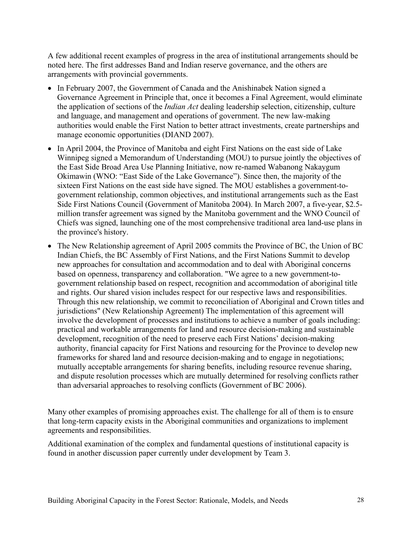A few additional recent examples of progress in the area of institutional arrangements should be noted here. The first addresses Band and Indian reserve governance, and the others are arrangements with provincial governments.

- In February 2007, the Government of Canada and the Anishinabek Nation signed a Governance Agreement in Principle that, once it becomes a Final Agreement, would eliminate the application of sections of the *Indian Act* dealing leadership selection, citizenship, culture and language, and management and operations of government. The new law-making authorities would enable the First Nation to better attract investments, create partnerships and manage economic opportunities (DIAND 2007).
- In April 2004, the Province of Manitoba and eight First Nations on the east side of Lake Winnipeg signed a Memorandum of Understanding (MOU) to pursue jointly the objectives of the East Side Broad Area Use Planning Initiative, now re-named Wabanong Nakaygum Okimawin (WNO: "East Side of the Lake Governance"). Since then, the majority of the sixteen First Nations on the east side have signed. The MOU establishes a government-togovernment relationship, common objectives, and institutional arrangements such as the East Side First Nations Council (Government of Manitoba 2004). In March 2007, a five-year, \$2.5 million transfer agreement was signed by the Manitoba government and the WNO Council of Chiefs was signed, launching one of the most comprehensive traditional area land-use plans in the province's history.
- The New Relationship agreement of April 2005 commits the Province of BC, the Union of BC Indian Chiefs, the BC Assembly of First Nations, and the First Nations Summit to develop new approaches for consultation and accommodation and to deal with Aboriginal concerns based on openness, transparency and collaboration. "We agree to a new government-togovernment relationship based on respect, recognition and accommodation of aboriginal title and rights. Our shared vision includes respect for our respective laws and responsibilities. Through this new relationship, we commit to reconciliation of Aboriginal and Crown titles and jurisdictions" (New Relationship Agreement) The implementation of this agreement will involve the development of processes and institutions to achieve a number of goals including: practical and workable arrangements for land and resource decision-making and sustainable development, recognition of the need to preserve each First Nations' decision-making authority, financial capacity for First Nations and resourcing for the Province to develop new frameworks for shared land and resource decision-making and to engage in negotiations; mutually acceptable arrangements for sharing benefits, including resource revenue sharing, and dispute resolution processes which are mutually determined for resolving conflicts rather than adversarial approaches to resolving conflicts (Government of BC 2006).

Many other examples of promising approaches exist. The challenge for all of them is to ensure that long-term capacity exists in the Aboriginal communities and organizations to implement agreements and responsibilities.

Additional examination of the complex and fundamental questions of institutional capacity is found in another discussion paper currently under development by Team 3.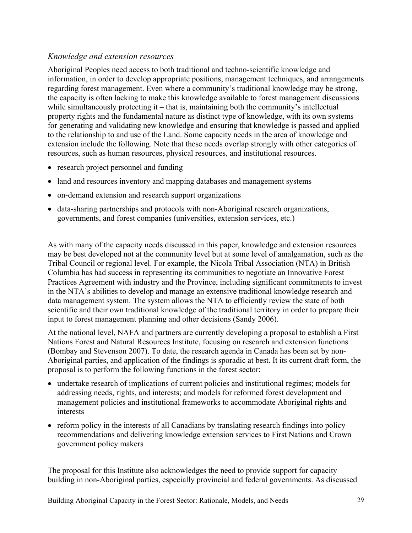# *Knowledge and extension resources*

Aboriginal Peoples need access to both traditional and techno-scientific knowledge and information, in order to develop appropriate positions, management techniques, and arrangements regarding forest management. Even where a community's traditional knowledge may be strong, the capacity is often lacking to make this knowledge available to forest management discussions while simultaneously protecting it – that is, maintaining both the community's intellectual property rights and the fundamental nature as distinct type of knowledge, with its own systems for generating and validating new knowledge and ensuring that knowledge is passed and applied to the relationship to and use of the Land. Some capacity needs in the area of knowledge and extension include the following. Note that these needs overlap strongly with other categories of resources, such as human resources, physical resources, and institutional resources.

- research project personnel and funding
- land and resources inventory and mapping databases and management systems
- on-demand extension and research support organizations
- data-sharing partnerships and protocols with non-Aboriginal research organizations, governments, and forest companies (universities, extension services, etc.)

As with many of the capacity needs discussed in this paper, knowledge and extension resources may be best developed not at the community level but at some level of amalgamation, such as the Tribal Council or regional level. For example, the Nicola Tribal Association (NTA) in British Columbia has had success in representing its communities to negotiate an Innovative Forest Practices Agreement with industry and the Province, including significant commitments to invest in the NTA's abilities to develop and manage an extensive traditional knowledge research and data management system. The system allows the NTA to efficiently review the state of both scientific and their own traditional knowledge of the traditional territory in order to prepare their input to forest management planning and other decisions (Sandy 2006).

At the national level, NAFA and partners are currently developing a proposal to establish a First Nations Forest and Natural Resources Institute, focusing on research and extension functions (Bombay and Stevenson 2007). To date, the research agenda in Canada has been set by non-Aboriginal parties, and application of the findings is sporadic at best. It its current draft form, the proposal is to perform the following functions in the forest sector:

- undertake research of implications of current policies and institutional regimes; models for addressing needs, rights, and interests; and models for reformed forest development and management policies and institutional frameworks to accommodate Aboriginal rights and interests
- reform policy in the interests of all Canadians by translating research findings into policy recommendations and delivering knowledge extension services to First Nations and Crown government policy makers

The proposal for this Institute also acknowledges the need to provide support for capacity building in non-Aboriginal parties, especially provincial and federal governments. As discussed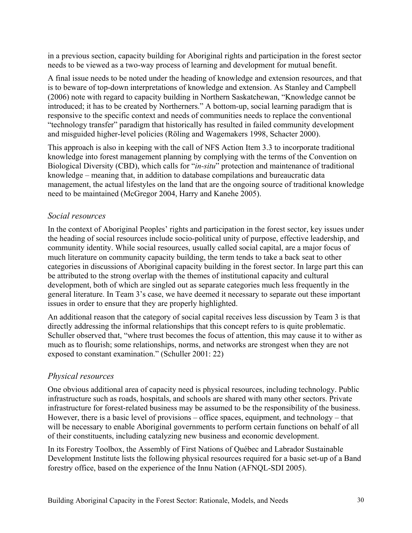in a previous section, capacity building for Aboriginal rights and participation in the forest sector needs to be viewed as a two-way process of learning and development for mutual benefit.

A final issue needs to be noted under the heading of knowledge and extension resources, and that is to beware of top-down interpretations of knowledge and extension. As Stanley and Campbell (2006) note with regard to capacity building in Northern Saskatchewan, "Knowledge cannot be introduced; it has to be created by Northerners." A bottom-up, social learning paradigm that is responsive to the specific context and needs of communities needs to replace the conventional "technology transfer" paradigm that historically has resulted in failed community development and misguided higher-level policies (Röling and Wagemakers 1998, Schacter 2000).

This approach is also in keeping with the call of NFS Action Item 3.3 to incorporate traditional knowledge into forest management planning by complying with the terms of the Convention on Biological Diversity (CBD), which calls for "*in-situ*" protection and maintenance of traditional knowledge – meaning that, in addition to database compilations and bureaucratic data management, the actual lifestyles on the land that are the ongoing source of traditional knowledge need to be maintained (McGregor 2004, Harry and Kanehe 2005).

# *Social resources*

In the context of Aboriginal Peoples' rights and participation in the forest sector, key issues under the heading of social resources include socio-political unity of purpose, effective leadership, and community identity. While social resources, usually called social capital, are a major focus of much literature on community capacity building, the term tends to take a back seat to other categories in discussions of Aboriginal capacity building in the forest sector. In large part this can be attributed to the strong overlap with the themes of institutional capacity and cultural development, both of which are singled out as separate categories much less frequently in the general literature. In Team 3's case, we have deemed it necessary to separate out these important issues in order to ensure that they are properly highlighted.

An additional reason that the category of social capital receives less discussion by Team 3 is that directly addressing the informal relationships that this concept refers to is quite problematic. Schuller observed that, "where trust becomes the focus of attention, this may cause it to wither as much as to flourish; some relationships, norms, and networks are strongest when they are not exposed to constant examination." (Schuller 2001: 22)

# *Physical resources*

One obvious additional area of capacity need is physical resources, including technology. Public infrastructure such as roads, hospitals, and schools are shared with many other sectors. Private infrastructure for forest-related business may be assumed to be the responsibility of the business. However, there is a basic level of provisions – office spaces, equipment, and technology – that will be necessary to enable Aboriginal governments to perform certain functions on behalf of all of their constituents, including catalyzing new business and economic development.

In its Forestry Toolbox, the Assembly of First Nations of Québec and Labrador Sustainable Development Institute lists the following physical resources required for a basic set-up of a Band forestry office, based on the experience of the Innu Nation (AFNQL-SDI 2005).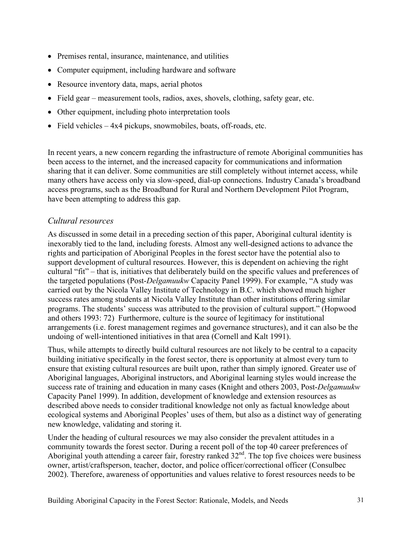- Premises rental, insurance, maintenance, and utilities
- Computer equipment, including hardware and software
- Resource inventory data, maps, aerial photos
- Field gear measurement tools, radios, axes, shovels, clothing, safety gear, etc.
- Other equipment, including photo interpretation tools
- Field vehicles 4x4 pickups, snowmobiles, boats, off-roads, etc.

In recent years, a new concern regarding the infrastructure of remote Aboriginal communities has been access to the internet, and the increased capacity for communications and information sharing that it can deliver. Some communities are still completely without internet access, while many others have access only via slow-speed, dial-up connections. Industry Canada's broadband access programs, such as the Broadband for Rural and Northern Development Pilot Program, have been attempting to address this gap.

# *Cultural resources*

As discussed in some detail in a preceding section of this paper, Aboriginal cultural identity is inexorably tied to the land, including forests. Almost any well-designed actions to advance the rights and participation of Aboriginal Peoples in the forest sector have the potential also to support development of cultural resources. However, this is dependent on achieving the right cultural "fit" – that is, initiatives that deliberately build on the specific values and preferences of the targeted populations (Post-*Delgamuukw* Capacity Panel 1999). For example, "A study was carried out by the Nicola Valley Institute of Technology in B.C. which showed much higher success rates among students at Nicola Valley Institute than other institutions offering similar programs. The students' success was attributed to the provision of cultural support." (Hopwood and others 1993: 72) Furthermore, culture is the source of legitimacy for institutional arrangements (i.e. forest management regimes and governance structures), and it can also be the undoing of well-intentioned initiatives in that area (Cornell and Kalt 1991).

Thus, while attempts to directly build cultural resources are not likely to be central to a capacity building initiative specifically in the forest sector, there is opportunity at almost every turn to ensure that existing cultural resources are built upon, rather than simply ignored. Greater use of Aboriginal languages, Aboriginal instructors, and Aboriginal learning styles would increase the success rate of training and education in many cases (Knight and others 2003, Post-*Delgamuukw* Capacity Panel 1999). In addition, development of knowledge and extension resources as described above needs to consider traditional knowledge not only as factual knowledge about ecological systems and Aboriginal Peoples' uses of them, but also as a distinct way of generating new knowledge, validating and storing it.

Under the heading of cultural resources we may also consider the prevalent attitudes in a community towards the forest sector. During a recent poll of the top 40 career preferences of Aboriginal youth attending a career fair, forestry ranked  $32<sup>nd</sup>$ . The top five choices were business owner, artist/craftsperson, teacher, doctor, and police officer/correctional officer (Consulbec 2002). Therefore, awareness of opportunities and values relative to forest resources needs to be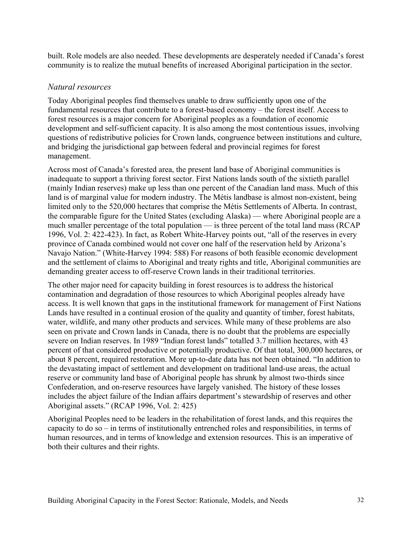built. Role models are also needed. These developments are desperately needed if Canada's forest community is to realize the mutual benefits of increased Aboriginal participation in the sector.

## *Natural resources*

Today Aboriginal peoples find themselves unable to draw sufficiently upon one of the fundamental resources that contribute to a forest-based economy – the forest itself. Access to forest resources is a major concern for Aboriginal peoples as a foundation of economic development and self-sufficient capacity. It is also among the most contentious issues, involving questions of redistributive policies for Crown lands, congruence between institutions and culture, and bridging the jurisdictional gap between federal and provincial regimes for forest management.

Across most of Canada's forested area, the present land base of Aboriginal communities is inadequate to support a thriving forest sector. First Nations lands south of the sixtieth parallel (mainly Indian reserves) make up less than one percent of the Canadian land mass. Much of this land is of marginal value for modern industry. The Métis landbase is almost non-existent, being limited only to the 520,000 hectares that comprise the Métis Settlements of Alberta. In contrast, the comparable figure for the United States (excluding Alaska) — where Aboriginal people are a much smaller percentage of the total population — is three percent of the total land mass (RCAP 1996, Vol. 2: 422-423). In fact, as Robert White-Harvey points out, "all of the reserves in every province of Canada combined would not cover one half of the reservation held by Arizona's Navajo Nation." (White-Harvey 1994: 588) For reasons of both feasible economic development and the settlement of claims to Aboriginal and treaty rights and title, Aboriginal communities are demanding greater access to off-reserve Crown lands in their traditional territories.

The other major need for capacity building in forest resources is to address the historical contamination and degradation of those resources to which Aboriginal peoples already have access. It is well known that gaps in the institutional framework for management of First Nations Lands have resulted in a continual erosion of the quality and quantity of timber, forest habitats, water, wildlife, and many other products and services. While many of these problems are also seen on private and Crown lands in Canada, there is no doubt that the problems are especially severe on Indian reserves. In 1989 "Indian forest lands" totalled 3.7 million hectares, with 43 percent of that considered productive or potentially productive. Of that total, 300,000 hectares, or about 8 percent, required restoration. More up-to-date data has not been obtained. "In addition to the devastating impact of settlement and development on traditional land-use areas, the actual reserve or community land base of Aboriginal people has shrunk by almost two-thirds since Confederation, and on-reserve resources have largely vanished. The history of these losses includes the abject failure of the Indian affairs department's stewardship of reserves and other Aboriginal assets." (RCAP 1996, Vol. 2: 425)

Aboriginal Peoples need to be leaders in the rehabilitation of forest lands, and this requires the capacity to do so – in terms of institutionally entrenched roles and responsibilities, in terms of human resources, and in terms of knowledge and extension resources. This is an imperative of both their cultures and their rights.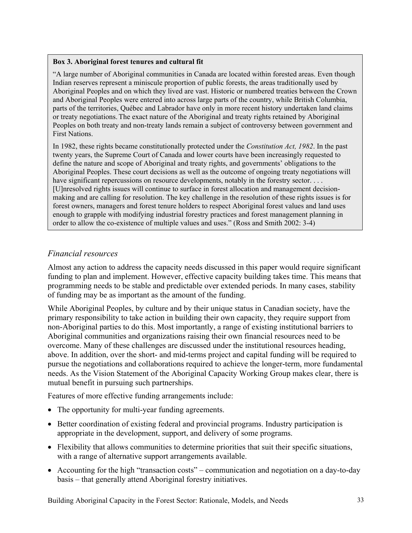#### **Box 3. Aboriginal forest tenures and cultural fit**

"A large number of Aboriginal communities in Canada are located within forested areas. Even though Indian reserves represent a miniscule proportion of public forests, the areas traditionally used by Aboriginal Peoples and on which they lived are vast. Historic or numbered treaties between the Crown and Aboriginal Peoples were entered into across large parts of the country, while British Columbia, parts of the territories, Québec and Labrador have only in more recent history undertaken land claims or treaty negotiations. The exact nature of the Aboriginal and treaty rights retained by Aboriginal Peoples on both treaty and non-treaty lands remain a subject of controversy between government and First Nations.

In 1982, these rights became constitutionally protected under the *Constitution Act, 1982*. In the past twenty years, the Supreme Court of Canada and lower courts have been increasingly requested to define the nature and scope of Aboriginal and treaty rights, and governments' obligations to the Aboriginal Peoples. These court decisions as well as the outcome of ongoing treaty negotiations will have significant repercussions on resource developments, notably in the forestry sector. . . . [U]nresolved rights issues will continue to surface in forest allocation and management decisionmaking and are calling for resolution. The key challenge in the resolution of these rights issues is for forest owners, managers and forest tenure holders to respect Aboriginal forest values and land uses enough to grapple with modifying industrial forestry practices and forest management planning in order to allow the co-existence of multiple values and uses." (Ross and Smith 2002: 3-4)

## *Financial resources*

Almost any action to address the capacity needs discussed in this paper would require significant funding to plan and implement. However, effective capacity building takes time. This means that programming needs to be stable and predictable over extended periods. In many cases, stability of funding may be as important as the amount of the funding.

While Aboriginal Peoples, by culture and by their unique status in Canadian society, have the primary responsibility to take action in building their own capacity, they require support from non-Aboriginal parties to do this. Most importantly, a range of existing institutional barriers to Aboriginal communities and organizations raising their own financial resources need to be overcome. Many of these challenges are discussed under the institutional resources heading, above. In addition, over the short- and mid-terms project and capital funding will be required to pursue the negotiations and collaborations required to achieve the longer-term, more fundamental needs. As the Vision Statement of the Aboriginal Capacity Working Group makes clear, there is mutual benefit in pursuing such partnerships.

Features of more effective funding arrangements include:

- The opportunity for multi-year funding agreements.
- Better coordination of existing federal and provincial programs. Industry participation is appropriate in the development, support, and delivery of some programs.
- Flexibility that allows communities to determine priorities that suit their specific situations, with a range of alternative support arrangements available.
- Accounting for the high "transaction costs" communication and negotiation on a day-to-day basis – that generally attend Aboriginal forestry initiatives.

Building Aboriginal Capacity in the Forest Sector: Rationale, Models, and Needs 33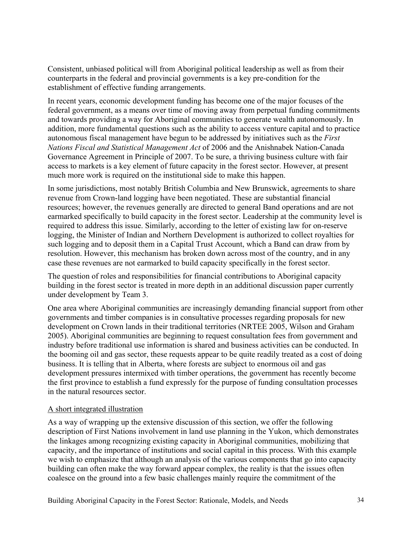Consistent, unbiased political will from Aboriginal political leadership as well as from their counterparts in the federal and provincial governments is a key pre-condition for the establishment of effective funding arrangements.

In recent years, economic development funding has become one of the major focuses of the federal government, as a means over time of moving away from perpetual funding commitments and towards providing a way for Aboriginal communities to generate wealth autonomously. In addition, more fundamental questions such as the ability to access venture capital and to practice autonomous fiscal management have begun to be addressed by initiatives such as the *First Nations Fiscal and Statistical Management Act* of 2006 and the Anishnabek Nation-Canada Governance Agreement in Principle of 2007. To be sure, a thriving business culture with fair access to markets is a key element of future capacity in the forest sector. However, at present much more work is required on the institutional side to make this happen.

In some jurisdictions, most notably British Columbia and New Brunswick, agreements to share revenue from Crown-land logging have been negotiated. These are substantial financial resources; however, the revenues generally are directed to general Band operations and are not earmarked specifically to build capacity in the forest sector. Leadership at the community level is required to address this issue. Similarly, according to the letter of existing law for on-reserve logging, the Minister of Indian and Northern Development is authorized to collect royalties for such logging and to deposit them in a Capital Trust Account, which a Band can draw from by resolution. However, this mechanism has broken down across most of the country, and in any case these revenues are not earmarked to build capacity specifically in the forest sector.

The question of roles and responsibilities for financial contributions to Aboriginal capacity building in the forest sector is treated in more depth in an additional discussion paper currently under development by Team 3.

One area where Aboriginal communities are increasingly demanding financial support from other governments and timber companies is in consultative processes regarding proposals for new development on Crown lands in their traditional territories (NRTEE 2005, Wilson and Graham 2005). Aboriginal communities are beginning to request consultation fees from government and industry before traditional use information is shared and business activities can be conducted. In the booming oil and gas sector, these requests appear to be quite readily treated as a cost of doing business. It is telling that in Alberta, where forests are subject to enormous oil and gas development pressures intermixed with timber operations, the government has recently become the first province to establish a fund expressly for the purpose of funding consultation processes in the natural resources sector.

#### A short integrated illustration

As a way of wrapping up the extensive discussion of this section, we offer the following description of First Nations involvement in land use planning in the Yukon, which demonstrates the linkages among recognizing existing capacity in Aboriginal communities, mobilizing that capacity, and the importance of institutions and social capital in this process. With this example we wish to emphasize that although an analysis of the various components that go into capacity building can often make the way forward appear complex, the reality is that the issues often coalesce on the ground into a few basic challenges mainly require the commitment of the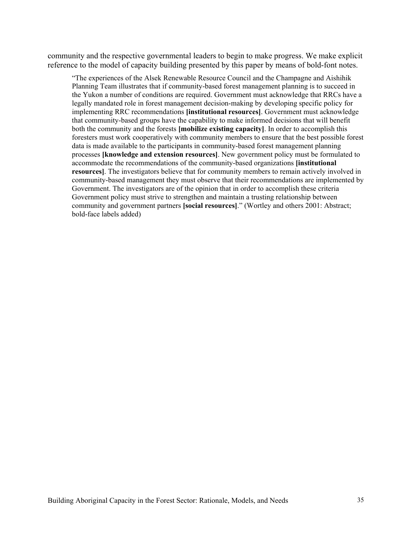community and the respective governmental leaders to begin to make progress. We make explicit reference to the model of capacity building presented by this paper by means of bold-font notes.

"The experiences of the Alsek Renewable Resource Council and the Champagne and Aishihik Planning Team illustrates that if community-based forest management planning is to succeed in the Yukon a number of conditions are required. Government must acknowledge that RRCs have a legally mandated role in forest management decision-making by developing specific policy for implementing RRC recommendations **[institutional resources]**. Government must acknowledge that community-based groups have the capability to make informed decisions that will benefit both the community and the forests **[mobilize existing capacity]**. In order to accomplish this foresters must work cooperatively with community members to ensure that the best possible forest data is made available to the participants in community-based forest management planning processes **[knowledge and extension resources]**. New government policy must be formulated to accommodate the recommendations of the community-based organizations **[institutional resources]**. The investigators believe that for community members to remain actively involved in community-based management they must observe that their recommendations are implemented by Government. The investigators are of the opinion that in order to accomplish these criteria Government policy must strive to strengthen and maintain a trusting relationship between community and government partners **[social resources]**." (Wortley and others 2001: Abstract; bold-face labels added)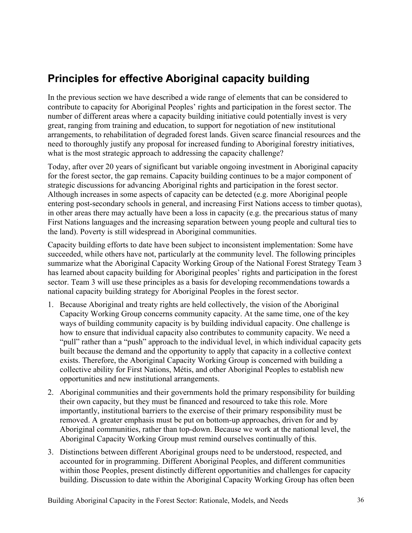# **Principles for effective Aboriginal capacity building**

In the previous section we have described a wide range of elements that can be considered to contribute to capacity for Aboriginal Peoples' rights and participation in the forest sector. The number of different areas where a capacity building initiative could potentially invest is very great, ranging from training and education, to support for negotiation of new institutional arrangements, to rehabilitation of degraded forest lands. Given scarce financial resources and the need to thoroughly justify any proposal for increased funding to Aboriginal forestry initiatives, what is the most strategic approach to addressing the capacity challenge?

Today, after over 20 years of significant but variable ongoing investment in Aboriginal capacity for the forest sector, the gap remains. Capacity building continues to be a major component of strategic discussions for advancing Aboriginal rights and participation in the forest sector. Although increases in some aspects of capacity can be detected (e.g. more Aboriginal people entering post-secondary schools in general, and increasing First Nations access to timber quotas), in other areas there may actually have been a loss in capacity (e.g. the precarious status of many First Nations languages and the increasing separation between young people and cultural ties to the land). Poverty is still widespread in Aboriginal communities.

Capacity building efforts to date have been subject to inconsistent implementation: Some have succeeded, while others have not, particularly at the community level. The following principles summarize what the Aboriginal Capacity Working Group of the National Forest Strategy Team 3 has learned about capacity building for Aboriginal peoples' rights and participation in the forest sector. Team 3 will use these principles as a basis for developing recommendations towards a national capacity building strategy for Aboriginal Peoples in the forest sector.

- 1. Because Aboriginal and treaty rights are held collectively, the vision of the Aboriginal Capacity Working Group concerns community capacity. At the same time, one of the key ways of building community capacity is by building individual capacity. One challenge is how to ensure that individual capacity also contributes to community capacity. We need a "pull" rather than a "push" approach to the individual level, in which individual capacity gets built because the demand and the opportunity to apply that capacity in a collective context exists. Therefore, the Aboriginal Capacity Working Group is concerned with building a collective ability for First Nations, Métis, and other Aboriginal Peoples to establish new opportunities and new institutional arrangements.
- 2. Aboriginal communities and their governments hold the primary responsibility for building their own capacity, but they must be financed and resourced to take this role. More importantly, institutional barriers to the exercise of their primary responsibility must be removed. A greater emphasis must be put on bottom-up approaches, driven for and by Aboriginal communities, rather than top-down. Because we work at the national level, the Aboriginal Capacity Working Group must remind ourselves continually of this.
- 3. Distinctions between different Aboriginal groups need to be understood, respected, and accounted for in programming. Different Aboriginal Peoples, and different communities within those Peoples, present distinctly different opportunities and challenges for capacity building. Discussion to date within the Aboriginal Capacity Working Group has often been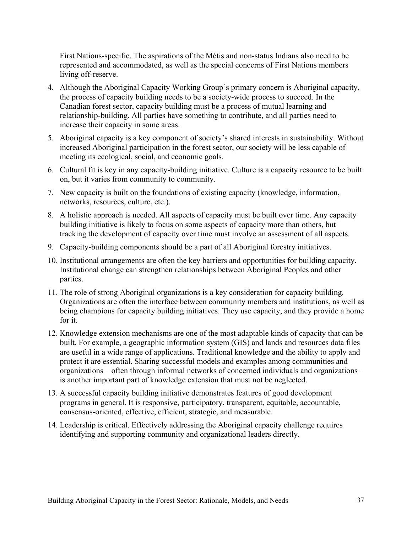First Nations-specific. The aspirations of the Métis and non-status Indians also need to be represented and accommodated, as well as the special concerns of First Nations members living off-reserve.

- 4. Although the Aboriginal Capacity Working Group's primary concern is Aboriginal capacity, the process of capacity building needs to be a society-wide process to succeed. In the Canadian forest sector, capacity building must be a process of mutual learning and relationship-building. All parties have something to contribute, and all parties need to increase their capacity in some areas.
- 5. Aboriginal capacity is a key component of society's shared interests in sustainability. Without increased Aboriginal participation in the forest sector, our society will be less capable of meeting its ecological, social, and economic goals.
- 6. Cultural fit is key in any capacity-building initiative. Culture is a capacity resource to be built on, but it varies from community to community.
- 7. New capacity is built on the foundations of existing capacity (knowledge, information, networks, resources, culture, etc.).
- 8. A holistic approach is needed. All aspects of capacity must be built over time. Any capacity building initiative is likely to focus on some aspects of capacity more than others, but tracking the development of capacity over time must involve an assessment of all aspects.
- 9. Capacity-building components should be a part of all Aboriginal forestry initiatives.
- 10. Institutional arrangements are often the key barriers and opportunities for building capacity. Institutional change can strengthen relationships between Aboriginal Peoples and other parties.
- 11. The role of strong Aboriginal organizations is a key consideration for capacity building. Organizations are often the interface between community members and institutions, as well as being champions for capacity building initiatives. They use capacity, and they provide a home for it.
- 12. Knowledge extension mechanisms are one of the most adaptable kinds of capacity that can be built. For example, a geographic information system (GIS) and lands and resources data files are useful in a wide range of applications. Traditional knowledge and the ability to apply and protect it are essential. Sharing successful models and examples among communities and organizations – often through informal networks of concerned individuals and organizations – is another important part of knowledge extension that must not be neglected.
- 13. A successful capacity building initiative demonstrates features of good development programs in general. It is responsive, participatory, transparent, equitable, accountable, consensus-oriented, effective, efficient, strategic, and measurable.
- 14. Leadership is critical. Effectively addressing the Aboriginal capacity challenge requires identifying and supporting community and organizational leaders directly.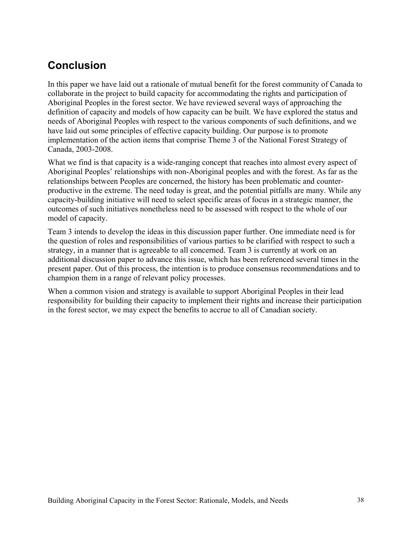# **Conclusion**

In this paper we have laid out a rationale of mutual benefit for the forest community of Canada to collaborate in the project to build capacity for accommodating the rights and participation of Aboriginal Peoples in the forest sector. We have reviewed several ways of approaching the definition of capacity and models of how capacity can be built. We have explored the status and needs of Aboriginal Peoples with respect to the various components of such definitions, and we have laid out some principles of effective capacity building. Our purpose is to promote implementation of the action items that comprise Theme 3 of the National Forest Strategy of Canada, 2003-2008.

What we find is that capacity is a wide-ranging concept that reaches into almost every aspect of Aboriginal Peoples' relationships with non-Aboriginal peoples and with the forest. As far as the relationships between Peoples are concerned, the history has been problematic and counterproductive in the extreme. The need today is great, and the potential pitfalls are many. While any capacity-building initiative will need to select specific areas of focus in a strategic manner, the outcomes of such initiatives nonetheless need to be assessed with respect to the whole of our model of capacity.

Team 3 intends to develop the ideas in this discussion paper further. One immediate need is for the question of roles and responsibilities of various parties to be clarified with respect to such a strategy, in a manner that is agreeable to all concerned. Team 3 is currently at work on an additional discussion paper to advance this issue, which has been referenced several times in the present paper. Out of this process, the intention is to produce consensus recommendations and to champion them in a range of relevant policy processes.

When a common vision and strategy is available to support Aboriginal Peoples in their lead responsibility for building their capacity to implement their rights and increase their participation in the forest sector, we may expect the benefits to accrue to all of Canadian society.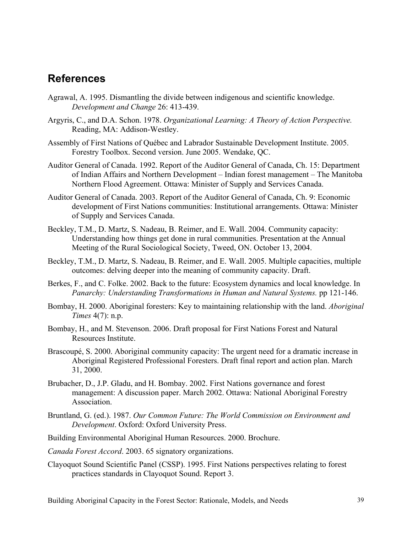# **References**

- Agrawal, A. 1995. Dismantling the divide between indigenous and scientific knowledge. *Development and Change* 26: 413-439.
- Argyris, C., and D.A. Schon. 1978. *Organizational Learning: A Theory of Action Perspective.* Reading, MA: Addison-Westley.
- Assembly of First Nations of Québec and Labrador Sustainable Development Institute. 2005. Forestry Toolbox. Second version. June 2005. Wendake, QC.
- Auditor General of Canada. 1992. Report of the Auditor General of Canada, Ch. 15: Department of Indian Affairs and Northern Development – Indian forest management – The Manitoba Northern Flood Agreement. Ottawa: Minister of Supply and Services Canada.
- Auditor General of Canada. 2003. Report of the Auditor General of Canada, Ch. 9: Economic development of First Nations communities: Institutional arrangements. Ottawa: Minister of Supply and Services Canada.
- Beckley, T.M., D. Martz, S. Nadeau, B. Reimer, and E. Wall. 2004. Community capacity: Understanding how things get done in rural communities. Presentation at the Annual Meeting of the Rural Sociological Society, Tweed, ON. October 13, 2004.
- Beckley, T.M., D. Martz, S. Nadeau, B. Reimer, and E. Wall. 2005. Multiple capacities, multiple outcomes: delving deeper into the meaning of community capacity. Draft.
- Berkes, F., and C. Folke. 2002. Back to the future: Ecosystem dynamics and local knowledge. In *Panarchy: Understanding Transformations in Human and Natural Systems.* pp 121-146.
- Bombay, H. 2000. Aboriginal foresters: Key to maintaining relationship with the land. *Aboriginal Times* 4(7): n.p.
- Bombay, H., and M. Stevenson. 2006. Draft proposal for First Nations Forest and Natural Resources Institute.
- Brascoupé, S. 2000. Aboriginal community capacity: The urgent need for a dramatic increase in Aboriginal Registered Professional Foresters. Draft final report and action plan. March 31, 2000.
- Brubacher, D., J.P. Gladu, and H. Bombay. 2002. First Nations governance and forest management: A discussion paper. March 2002. Ottawa: National Aboriginal Forestry Association.
- Bruntland, G. (ed.). 1987. *Our Common Future: The World Commission on Environment and Development*. Oxford: Oxford University Press.
- Building Environmental Aboriginal Human Resources. 2000. Brochure.
- *Canada Forest Accord*. 2003. 65 signatory organizations.
- Clayoquot Sound Scientific Panel (CSSP). 1995. First Nations perspectives relating to forest practices standards in Clayoquot Sound. Report 3.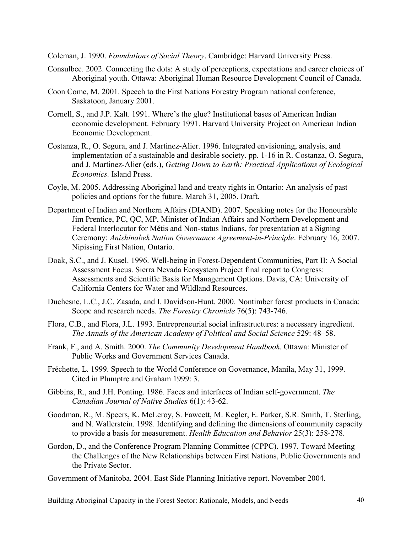Coleman, J. 1990. *Foundations of Social Theory*. Cambridge: Harvard University Press.

- Consulbec. 2002. Connecting the dots: A study of perceptions, expectations and career choices of Aboriginal youth. Ottawa: Aboriginal Human Resource Development Council of Canada.
- Coon Come, M. 2001. Speech to the First Nations Forestry Program national conference, Saskatoon, January 2001.
- Cornell, S., and J.P. Kalt. 1991. Where's the glue? Institutional bases of American Indian economic development. February 1991. Harvard University Project on American Indian Economic Development.
- Costanza, R., O. Segura, and J. Martinez-Alier. 1996. Integrated envisioning, analysis, and implementation of a sustainable and desirable society. pp. 1-16 in R. Costanza, O. Segura, and J. Martinez-Alier (eds.), *Getting Down to Earth: Practical Applications of Ecological Economics.* Island Press.
- Coyle, M. 2005. Addressing Aboriginal land and treaty rights in Ontario: An analysis of past policies and options for the future. March 31, 2005. Draft.
- Department of Indian and Northern Affairs (DIAND). 2007. Speaking notes for the Honourable Jim Prentice, PC, QC, MP, Minister of Indian Affairs and Northern Development and Federal Interlocutor for Métis and Non-status Indians, for presentation at a Signing Ceremony: *Anishinabek Nation Governance Agreement-in-Principle*. February 16, 2007. Nipissing First Nation, Ontario.
- Doak, S.C., and J. Kusel. 1996. Well-being in Forest-Dependent Communities, Part II: A Social Assessment Focus. Sierra Nevada Ecosystem Project final report to Congress: Assessments and Scientific Basis for Management Options. Davis, CA: University of California Centers for Water and Wildland Resources.
- Duchesne, L.C., J.C. Zasada, and I. Davidson-Hunt. 2000. Nontimber forest products in Canada: Scope and research needs. *The Forestry Chronicle* 76(5): 743-746.
- Flora, C.B., and Flora, J.L. 1993. Entrepreneurial social infrastructures: a necessary ingredient. *The Annals of the American Academy of Political and Social Science* 529: 48*–*58.
- Frank, F., and A. Smith. 2000. *The Community Development Handbook.* Ottawa: Minister of Public Works and Government Services Canada.
- Fréchette, L. 1999. Speech to the World Conference on Governance, Manila, May 31, 1999. Cited in Plumptre and Graham 1999: 3.
- Gibbins, R., and J.H. Ponting. 1986. Faces and interfaces of Indian self-government. *The Canadian Journal of Native Studies* 6(1): 43-62.
- Goodman, R., M. Speers, K. McLeroy, S. Fawcett, M. Kegler, E. Parker, S.R. Smith, T. Sterling, and N. Wallerstein. 1998. Identifying and defining the dimensions of community capacity to provide a basis for measurement. *Health Education and Behavior* 25(3): 258-278.
- Gordon, D., and the Conference Program Planning Committee (CPPC). 1997. Toward Meeting the Challenges of the New Relationships between First Nations, Public Governments and the Private Sector.
- Government of Manitoba. 2004. East Side Planning Initiative report. November 2004.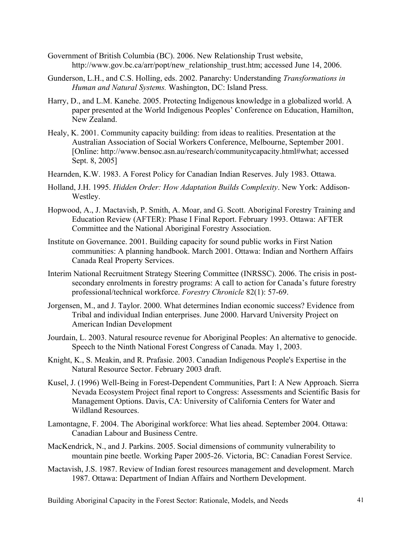- Government of British Columbia (BC). 2006. New Relationship Trust website, http://www.gov.bc.ca/arr/popt/new\_relationship\_trust.htm; accessed June 14, 2006.
- Gunderson, L.H., and C.S. Holling, eds. 2002. Panarchy: Understanding *Transformations in Human and Natural Systems.* Washington, DC: Island Press.
- Harry, D., and L.M. Kanehe. 2005. Protecting Indigenous knowledge in a globalized world. A paper presented at the World Indigenous Peoples' Conference on Education, Hamilton, New Zealand.
- Healy, K. 2001. Community capacity building: from ideas to realities. Presentation at the Australian Association of Social Workers Conference, Melbourne, September 2001. [Online: http://www.bensoc.asn.au/research/communitycapacity.html#what; accessed Sept. 8, 2005]
- Hearnden, K.W. 1983. A Forest Policy for Canadian Indian Reserves. July 1983. Ottawa.
- Holland, J.H. 1995. *Hidden Order: How Adaptation Builds Complexity*. New York: Addison-Westley.
- Hopwood, A., J. Mactavish, P. Smith, A. Moar, and G. Scott. Aboriginal Forestry Training and Education Review (AFTER): Phase I Final Report. February 1993. Ottawa: AFTER Committee and the National Aboriginal Forestry Association.
- Institute on Governance. 2001. Building capacity for sound public works in First Nation communities: A planning handbook. March 2001. Ottawa: Indian and Northern Affairs Canada Real Property Services.
- Interim National Recruitment Strategy Steering Committee (INRSSC). 2006. The crisis in postsecondary enrolments in forestry programs: A call to action for Canada's future forestry professional/technical workforce. *Forestry Chronicle* 82(1): 57-69.
- Jorgensen, M., and J. Taylor. 2000. What determines Indian economic success? Evidence from Tribal and individual Indian enterprises. June 2000. Harvard University Project on American Indian Development
- Jourdain, L. 2003. Natural resource revenue for Aboriginal Peoples: An alternative to genocide. Speech to the Ninth National Forest Congress of Canada. May 1, 2003.
- Knight, K., S. Meakin, and R. Prafasie. 2003. Canadian Indigenous People's Expertise in the Natural Resource Sector. February 2003 draft.
- Kusel, J. (1996) Well-Being in Forest-Dependent Communities, Part I: A New Approach. Sierra Nevada Ecosystem Project final report to Congress: Assessments and Scientific Basis for Management Options. Davis, CA: University of California Centers for Water and Wildland Resources.
- Lamontagne, F. 2004. The Aboriginal workforce: What lies ahead. September 2004. Ottawa: Canadian Labour and Business Centre.
- MacKendrick, N., and J. Parkins. 2005. Social dimensions of community vulnerability to mountain pine beetle. Working Paper 2005-26. Victoria, BC: Canadian Forest Service.
- Mactavish, J.S. 1987. Review of Indian forest resources management and development. March 1987. Ottawa: Department of Indian Affairs and Northern Development.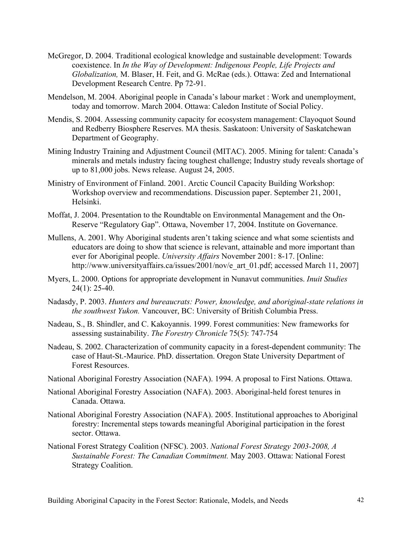- McGregor, D. 2004. Traditional ecological knowledge and sustainable development: Towards coexistence. In *In the Way of Development: Indigenous People, Life Projects and Globalization,* M. Blaser, H. Feit, and G. McRae (eds.). Ottawa: Zed and International Development Research Centre. Pp 72-91.
- Mendelson, M. 2004. Aboriginal people in Canada's labour market : Work and unemployment, today and tomorrow. March 2004. Ottawa: Caledon Institute of Social Policy.
- Mendis, S. 2004. Assessing community capacity for ecosystem management: Clayoquot Sound and Redberry Biosphere Reserves. MA thesis. Saskatoon: University of Saskatchewan Department of Geography.
- Mining Industry Training and Adjustment Council (MITAC). 2005. Mining for talent: Canada's minerals and metals industry facing toughest challenge; Industry study reveals shortage of up to 81,000 jobs. News release. August 24, 2005.
- Ministry of Environment of Finland. 2001. Arctic Council Capacity Building Workshop: Workshop overview and recommendations. Discussion paper. September 21, 2001, Helsinki.
- Moffat, J. 2004. Presentation to the Roundtable on Environmental Management and the On-Reserve "Regulatory Gap". Ottawa, November 17, 2004. Institute on Governance.
- Mullens, A. 2001. Why Aboriginal students aren't taking science and what some scientists and educators are doing to show that science is relevant, attainable and more important than ever for Aboriginal people. *University Affairs* November 2001: 8-17. [Online: http://www.universityaffairs.ca/issues/2001/nov/e\_art\_01.pdf; accessed March 11, 2007]
- Myers, L. 2000. Options for appropriate development in Nunavut communities. *Inuit Studies*  24(1): 25-40.
- Nadasdy, P. 2003. *Hunters and bureaucrats: Power, knowledge, and aboriginal-state relations in the southwest Yukon.* Vancouver, BC: University of British Columbia Press.
- Nadeau, S., B. Shindler, and C. Kakoyannis. 1999. Forest communities: New frameworks for assessing sustainability. *The Forestry Chronicle* 75(5): 747-754
- Nadeau, S. 2002. Characterization of community capacity in a forest-dependent community: The case of Haut-St.-Maurice. PhD. dissertation. Oregon State University Department of Forest Resources.
- National Aboriginal Forestry Association (NAFA). 1994. A proposal to First Nations. Ottawa.
- National Aboriginal Forestry Association (NAFA). 2003. Aboriginal-held forest tenures in Canada. Ottawa.
- National Aboriginal Forestry Association (NAFA). 2005. Institutional approaches to Aboriginal forestry: Incremental steps towards meaningful Aboriginal participation in the forest sector. Ottawa.
- National Forest Strategy Coalition (NFSC). 2003. *National Forest Strategy 2003-2008, A Sustainable Forest: The Canadian Commitment.* May 2003. Ottawa: National Forest Strategy Coalition.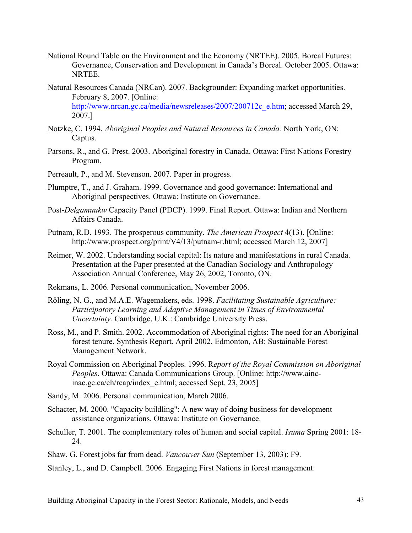- National Round Table on the Environment and the Economy (NRTEE). 2005. Boreal Futures: Governance, Conservation and Development in Canada's Boreal. October 2005. Ottawa: NRTEE.
- Natural Resources Canada (NRCan). 2007. Backgrounder: Expanding market opportunities. February 8, 2007. [Online: http://www.nrcan.gc.ca/media/newsreleases/2007/200712c\_e.htm; accessed March 29, 2007.]
- Notzke, C. 1994. *Aboriginal Peoples and Natural Resources in Canada.* North York, ON: Captus.
- Parsons, R., and G. Prest. 2003. Aboriginal forestry in Canada. Ottawa: First Nations Forestry Program.
- Perreault, P., and M. Stevenson. 2007. Paper in progress.
- Plumptre, T., and J. Graham. 1999. Governance and good governance: International and Aboriginal perspectives. Ottawa: Institute on Governance.
- Post-*Delgamuukw* Capacity Panel (PDCP). 1999. Final Report. Ottawa: Indian and Northern Affairs Canada.
- Putnam, R.D. 1993. The prosperous community. *The American Prospect* 4(13). [Online: http://www.prospect.org/print/V4/13/putnam-r.html; accessed March 12, 2007]
- Reimer, W. 2002. Understanding social capital: Its nature and manifestations in rural Canada. Presentation at the Paper presented at the Canadian Sociology and Anthropology Association Annual Conference, May 26, 2002, Toronto, ON.
- Rekmans, L. 2006. Personal communication, November 2006.
- Röling, N. G., and M.A.E. Wagemakers, eds. 1998. *Facilitating Sustainable Agriculture: Participatory Learning and Adaptive Management in Times of Environmental Uncertainty.* Cambridge, U.K.: Cambridge University Press.
- Ross, M., and P. Smith. 2002. Accommodation of Aboriginal rights: The need for an Aboriginal forest tenure. Synthesis Report. April 2002. Edmonton, AB: Sustainable Forest Management Network.
- Royal Commission on Aboriginal Peoples. 1996. R*eport of the Royal Commission on Aboriginal Peoples*. Ottawa: Canada Communications Group. [Online: http://www.aincinac.gc.ca/ch/rcap/index\_e.html; accessed Sept. 23, 2005]
- Sandy, M. 2006. Personal communication, March 2006.
- Schacter, M. 2000. "Capacity buildling": A new way of doing business for development assistance organizations. Ottawa: Institute on Governance.
- Schuller, T. 2001. The complementary roles of human and social capital. *Isuma* Spring 2001: 18- 24.
- Shaw, G. Forest jobs far from dead. *Vancouver Sun* (September 13, 2003): F9.

Stanley, L., and D. Campbell. 2006. Engaging First Nations in forest management.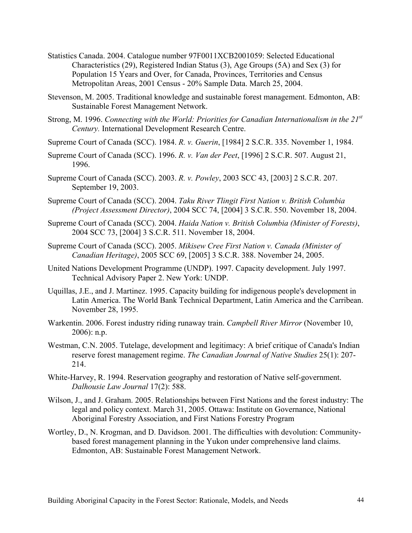- Statistics Canada. 2004. Catalogue number 97F0011XCB2001059: Selected Educational Characteristics (29), Registered Indian Status (3), Age Groups (5A) and Sex (3) for Population 15 Years and Over, for Canada, Provinces, Territories and Census Metropolitan Areas, 2001 Census - 20% Sample Data. March 25, 2004.
- Stevenson, M. 2005. Traditional knowledge and sustainable forest management. Edmonton, AB: Sustainable Forest Management Network.
- Strong, M. 1996. *Connecting with the World: Priorities for Canadian Internationalism in the 21st Century.* International Development Research Centre.
- Supreme Court of Canada (SCC). 1984. *R. v. Guerin*, [1984] 2 S.C.R. 335. November 1, 1984.
- Supreme Court of Canada (SCC). 1996. *R. v. Van der Peet*, [1996] 2 S.C.R. 507. August 21, 1996.
- Supreme Court of Canada (SCC). 2003. *R. v. Powley*, 2003 SCC 43, [2003] 2 S.C.R. 207. September 19, 2003.
- Supreme Court of Canada (SCC). 2004. *Taku River Tlingit First Nation v. British Columbia (Project Assessment Director)*, 2004 SCC 74, [2004] 3 S.C.R. 550. November 18, 2004.
- Supreme Court of Canada (SCC). 2004. *Haida Nation v. British Columbia (Minister of Forests)*, 2004 SCC 73, [2004] 3 S.C.R. 511. November 18, 2004.
- Supreme Court of Canada (SCC). 2005. *Mikisew Cree First Nation v. Canada (Minister of Canadian Heritage)*, 2005 SCC 69, [2005] 3 S.C.R. 388. November 24, 2005.
- United Nations Development Programme (UNDP). 1997. Capacity development. July 1997. Technical Advisory Paper 2. New York: UNDP.
- Uquillas, J.E., and J. Martinez. 1995. Capacity building for indigenous people's development in Latin America. The World Bank Technical Department, Latin America and the Carribean. November 28, 1995.
- Warkentin. 2006. Forest industry riding runaway train. *Campbell River Mirror* (November 10, 2006): n.p.
- Westman, C.N. 2005. Tutelage, development and legitimacy: A brief critique of Canada's Indian reserve forest management regime. *The Canadian Journal of Native Studies* 25(1): 207- 214.
- White-Harvey, R. 1994. Reservation geography and restoration of Native self-government. *Dalhousie Law Journal* 17(2): 588.
- Wilson, J., and J. Graham. 2005. Relationships between First Nations and the forest industry: The legal and policy context. March 31, 2005. Ottawa: Institute on Governance, National Aboriginal Forestry Association, and First Nations Forestry Program
- Wortley, D., N. Krogman, and D. Davidson. 2001. The difficulties with devolution: Communitybased forest management planning in the Yukon under comprehensive land claims. Edmonton, AB: Sustainable Forest Management Network.